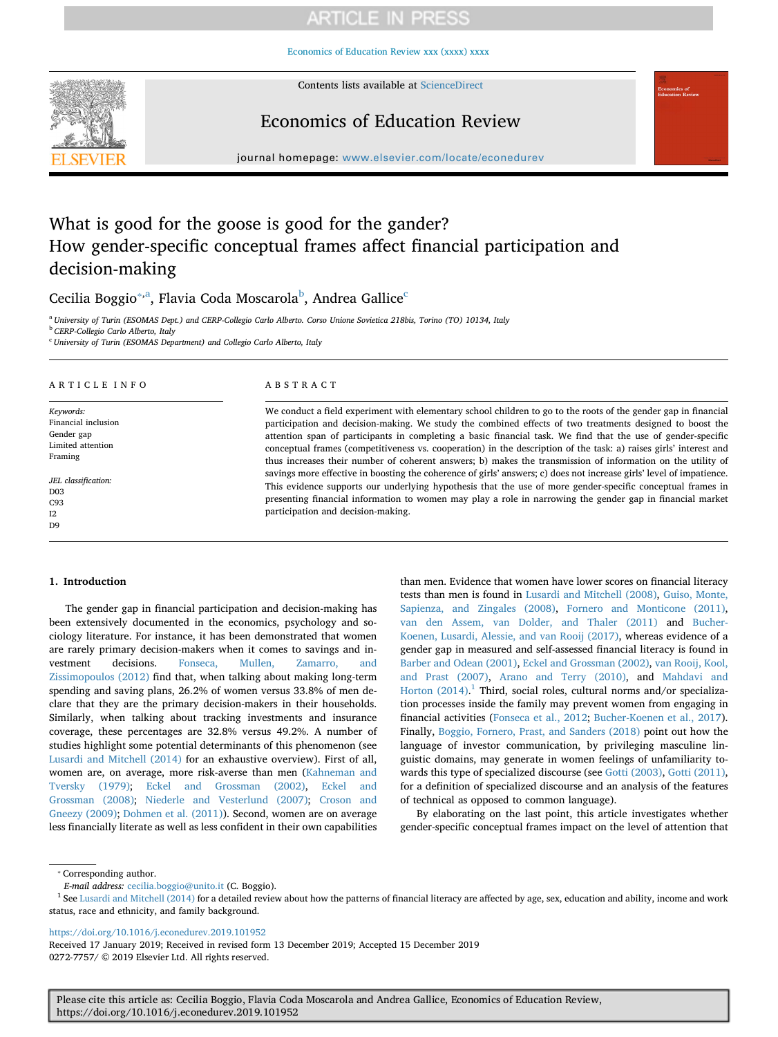[Economics of Education Review xxx \(xxxx\) xxxx](https://doi.org/10.1016/j.econedurev.2019.101952)



Contents lists available at [ScienceDirect](http://www.sciencedirect.com/science/journal/02727757)

## Economics of Education Review

journal homepage: [www.elsevier.com/locate/econedurev](https://www.elsevier.com/locate/econedurev)

# What is good for the goose is good for the gander? How gender-specific conceptual frames affect financial participation and decision-making

C[ec](#page-0-3)ilia Boggio $^{\ast,\mathrm{a}}$ , Flavia Coda Moscarola $^{\mathrm{b}}$  $^{\mathrm{b}}$  $^{\mathrm{b}}$ , Andrea Gallice $^{\mathrm{c}}$ 

<span id="page-0-1"></span><sup>a</sup> *University of Turin (ESOMAS Dept.) and CERP-Collegio Carlo Alberto. Corso Unione Sovietica 218bis, Torino (TO) 10134, Italy*

<span id="page-0-2"></span><sup>b</sup> *CERP-Collegio Carlo Alberto, Italy*

<span id="page-0-3"></span><sup>c</sup> *University of Turin (ESOMAS Department) and Collegio Carlo Alberto, Italy*

### ARTICLE INFO

*Keywords:* Financial inclusion Gender gap Limited attention Framing *JEL classification:* D03

C93  $I2$ D<sub>9</sub>

#### ABSTRACT

We conduct a field experiment with elementary school children to go to the roots of the gender gap in financial participation and decision-making. We study the combined effects of two treatments designed to boost the attention span of participants in completing a basic financial task. We find that the use of gender-specific conceptual frames (competitiveness vs. cooperation) in the description of the task: a) raises girls' interest and thus increases their number of coherent answers; b) makes the transmission of information on the utility of savings more effective in boosting the coherence of girls' answers; c) does not increase girls' level of impatience. This evidence supports our underlying hypothesis that the use of more gender-specific conceptual frames in presenting financial information to women may play a role in narrowing the gender gap in financial market participation and decision-making.

#### **1. Introduction**

The gender gap in financial participation and decision-making has been extensively documented in the economics, psychology and sociology literature. For instance, it has been demonstrated that women are rarely primary decision-makers when it comes to savings and investment decisions. [Fonseca, Mullen, Zamarro, and](#page-11-0) [Zissimopoulos \(2012\)](#page-11-0) find that, when talking about making long-term spending and saving plans, 26.2% of women versus 33.8% of men declare that they are the primary decision-makers in their households. Similarly, when talking about tracking investments and insurance coverage, these percentages are 32.8% versus 49.2%. A number of studies highlight some potential determinants of this phenomenon (see [Lusardi and Mitchell \(2014\)](#page-11-1) for an exhaustive overview). First of all, women are, on average, more risk-averse than men [\(Kahneman and](#page-11-2) [Tversky \(1979\);](#page-11-2) [Eckel and Grossman \(2002\),](#page-11-3) [Eckel and](#page-11-4) [Grossman \(2008\);](#page-11-4) [Niederle and Vesterlund \(2007\);](#page-11-5) [Croson and](#page-11-6) [Gneezy \(2009\);](#page-11-6) [Dohmen et al. \(2011\)\)](#page-11-7). Second, women are on average less financially literate as well as less confident in their own capabilities

than men. Evidence that women have lower scores on financial literacy tests than men is found in [Lusardi and Mitchell \(2008\)](#page-11-8), [Guiso, Monte,](#page-11-9) [Sapienza, and Zingales \(2008\)](#page-11-9), [Fornero and Monticone \(2011\)](#page-11-10), [van den Assem, van Dolder, and Thaler \(2011\)](#page-11-11) and [Bucher-](#page-11-12)[Koenen, Lusardi, Alessie, and van Rooij \(2017\),](#page-11-12) whereas evidence of a gender gap in measured and self-assessed financial literacy is found in [Barber and Odean \(2001\)](#page-11-13), [Eckel and Grossman \(2002\)](#page-11-3), [van Rooij, Kool,](#page-11-14) [and Prast \(2007\)](#page-11-14), [Arano and Terry \(2010\)](#page-11-15), and [Mahdavi and](#page-11-16) [Horton \(2014\).](#page-11-16)<sup>[1](#page-0-4)</sup> Third, social roles, cultural norms and/or specialization processes inside the family may prevent women from engaging in financial activities ([Fonseca et al., 2012;](#page-11-0) [Bucher-Koenen et al., 2017](#page-11-12)). Finally, [Boggio, Fornero, Prast, and Sanders \(2018\)](#page-11-17) point out how the language of investor communication, by privileging masculine linguistic domains, may generate in women feelings of unfamiliarity towards this type of specialized discourse (see [Gotti \(2003\)](#page-11-18), [Gotti \(2011\)](#page-11-19), for a definition of specialized discourse and an analysis of the features of technical as opposed to common language).

By elaborating on the last point, this article investigates whether gender-specific conceptual frames impact on the level of attention that

<span id="page-0-0"></span>⁎ Corresponding author.

<https://doi.org/10.1016/j.econedurev.2019.101952>

*E-mail address:* [cecilia.boggio@unito.it](mailto:cecilia.boggio@unito.it) (C. Boggio).

<span id="page-0-4"></span><sup>&</sup>lt;sup>1</sup> See [Lusardi and Mitchell \(2014\)](#page-11-1) for a detailed review about how the patterns of financial literacy are affected by age, sex, education and ability, income and work status, race and ethnicity, and family background.

Received 17 January 2019; Received in revised form 13 December 2019; Accepted 15 December 2019 0272-7757/ © 2019 Elsevier Ltd. All rights reserved.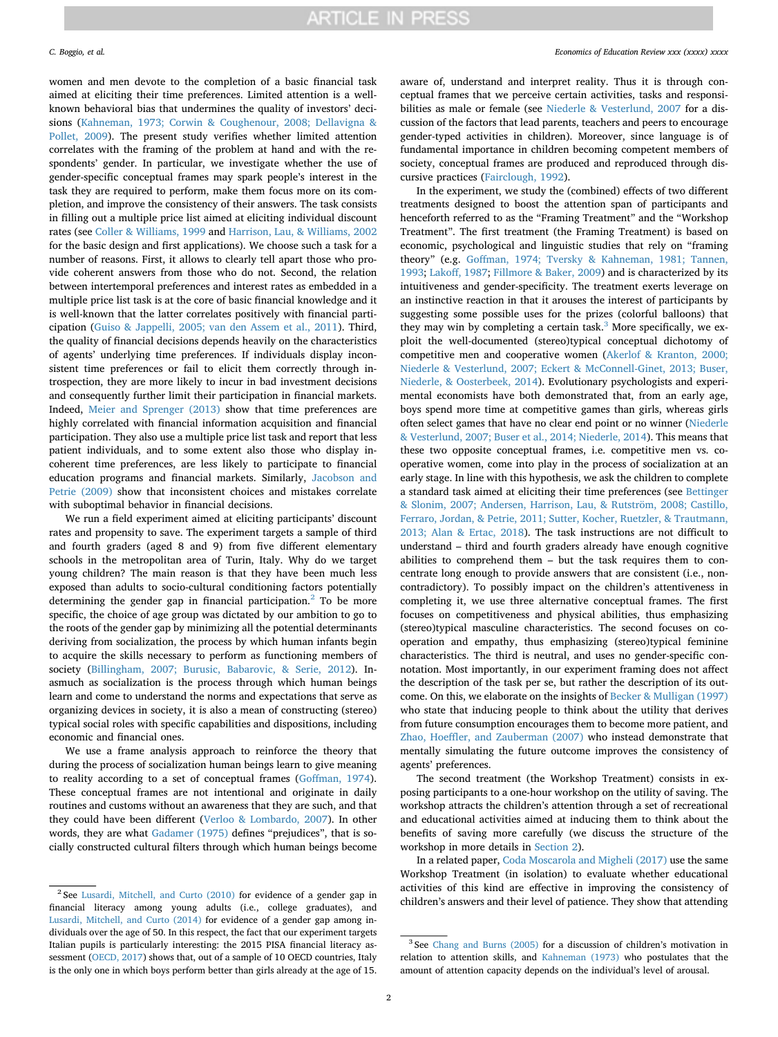women and men devote to the completion of a basic financial task aimed at eliciting their time preferences. Limited attention is a wellknown behavioral bias that undermines the quality of investors' decisions [\(Kahneman, 1973; Corwin & Coughenour, 2008; Dellavigna &](#page-11-20) [Pollet, 2009](#page-11-20)). The present study verifies whether limited attention correlates with the framing of the problem at hand and with the respondents' gender. In particular, we investigate whether the use of gender-specific conceptual frames may spark people's interest in the task they are required to perform, make them focus more on its completion, and improve the consistency of their answers. The task consists in filling out a multiple price list aimed at eliciting individual discount rates (see [Coller & Williams, 1999](#page-11-21) and [Harrison, Lau, & Williams, 2002](#page-11-22) for the basic design and first applications). We choose such a task for a number of reasons. First, it allows to clearly tell apart those who provide coherent answers from those who do not. Second, the relation between intertemporal preferences and interest rates as embedded in a multiple price list task is at the core of basic financial knowledge and it is well-known that the latter correlates positively with financial participation [\(Guiso & Jappelli, 2005; van den Assem et al., 2011\)](#page-11-23). Third, the quality of financial decisions depends heavily on the characteristics of agents' underlying time preferences. If individuals display inconsistent time preferences or fail to elicit them correctly through introspection, they are more likely to incur in bad investment decisions and consequently further limit their participation in financial markets. Indeed, [Meier and Sprenger \(2013\)](#page-11-24) show that time preferences are highly correlated with financial information acquisition and financial participation. They also use a multiple price list task and report that less patient individuals, and to some extent also those who display incoherent time preferences, are less likely to participate to financial education programs and financial markets. Similarly, [Jacobson and](#page-11-25) [Petrie \(2009\)](#page-11-25) show that inconsistent choices and mistakes correlate with suboptimal behavior in financial decisions.

We run a field experiment aimed at eliciting participants' discount rates and propensity to save. The experiment targets a sample of third and fourth graders (aged 8 and 9) from five different elementary schools in the metropolitan area of Turin, Italy. Why do we target young children? The main reason is that they have been much less exposed than adults to socio-cultural conditioning factors potentially determining the gender gap in financial participation.<sup>[2](#page-1-0)</sup> To be more specific, the choice of age group was dictated by our ambition to go to the roots of the gender gap by minimizing all the potential determinants deriving from socialization, the process by which human infants begin to acquire the skills necessary to perform as functioning members of society ([Billingham, 2007; Burusic, Babarovic, & Serie, 2012\)](#page-11-26). Inasmuch as socialization is the process through which human beings learn and come to understand the norms and expectations that serve as organizing devices in society, it is also a mean of constructing (stereo) typical social roles with specific capabilities and dispositions, including economic and financial ones.

We use a frame analysis approach to reinforce the theory that during the process of socialization human beings learn to give meaning to reality according to a set of conceptual frames [\(Goffman, 1974](#page-11-27)). These conceptual frames are not intentional and originate in daily routines and customs without an awareness that they are such, and that they could have been different [\(Verloo & Lombardo, 2007\)](#page-11-28). In other words, they are what [Gadamer \(1975\)](#page-11-29) defines "prejudices", that is socially constructed cultural filters through which human beings become aware of, understand and interpret reality. Thus it is through conceptual frames that we perceive certain activities, tasks and responsibilities as male or female (see [Niederle & Vesterlund, 2007](#page-11-5) for a discussion of the factors that lead parents, teachers and peers to encourage gender-typed activities in children). Moreover, since language is of fundamental importance in children becoming competent members of society, conceptual frames are produced and reproduced through discursive practices [\(Fairclough, 1992\)](#page-11-30).

In the experiment, we study the (combined) effects of two different treatments designed to boost the attention span of participants and henceforth referred to as the "Framing Treatment" and the "Workshop Treatment". The first treatment (the Framing Treatment) is based on economic, psychological and linguistic studies that rely on "framing theory" (e.g. [Goffman, 1974; Tversky & Kahneman, 1981; Tannen,](#page-11-27) [1993;](#page-11-27) [Lakoff, 1987;](#page-11-31) [Fillmore & Baker, 2009](#page-11-32)) and is characterized by its intuitiveness and gender-specificity. The treatment exerts leverage on an instinctive reaction in that it arouses the interest of participants by suggesting some possible uses for the prizes (colorful balloons) that they may win by completing a certain task.<sup>[3](#page-1-1)</sup> More specifically, we exploit the well-documented (stereo)typical conceptual dichotomy of competitive men and cooperative women [\(Akerlof & Kranton, 2000;](#page-10-0) [Niederle & Vesterlund, 2007; Eckert & McConnell-Ginet, 2013; Buser,](#page-10-0) [Niederle, & Oosterbeek, 2014](#page-10-0)). Evolutionary psychologists and experimental economists have both demonstrated that, from an early age, boys spend more time at competitive games than girls, whereas girls often select games that have no clear end point or no winner ([Niederle](#page-11-5) [& Vesterlund, 2007; Buser et al., 2014; Niederle, 2014](#page-11-5)). This means that these two opposite conceptual frames, i.e. competitive men vs. cooperative women, come into play in the process of socialization at an early stage. In line with this hypothesis, we ask the children to complete a standard task aimed at eliciting their time preferences (see [Bettinger](#page-11-33) [& Slonim, 2007; Andersen, Harrison, Lau, & Rutström, 2008; Castillo,](#page-11-33) [Ferraro, Jordan, & Petrie, 2011; Sutter, Kocher, Ruetzler, & Trautmann,](#page-11-33) [2013; Alan & Ertac, 2018](#page-11-33)). The task instructions are not difficult to understand – third and fourth graders already have enough cognitive abilities to comprehend them – but the task requires them to concentrate long enough to provide answers that are consistent (i.e., noncontradictory). To possibly impact on the children's attentiveness in completing it, we use three alternative conceptual frames. The first focuses on competitiveness and physical abilities, thus emphasizing (stereo)typical masculine characteristics. The second focuses on cooperation and empathy, thus emphasizing (stereo)typical feminine characteristics. The third is neutral, and uses no gender-specific connotation. Most importantly, in our experiment framing does not affect the description of the task per se, but rather the description of its outcome. On this, we elaborate on the insights of [Becker & Mulligan \(1997\)](#page-11-34) who state that inducing people to think about the utility that derives from future consumption encourages them to become more patient, and [Zhao, Hoeffler, and Zauberman \(2007\)](#page-11-35) who instead demonstrate that mentally simulating the future outcome improves the consistency of agents' preferences.

The second treatment (the Workshop Treatment) consists in exposing participants to a one-hour workshop on the utility of saving. The workshop attracts the children's attention through a set of recreational and educational activities aimed at inducing them to think about the benefits of saving more carefully (we discuss the structure of the workshop in more details in [Section 2](#page-2-0)).

In a related paper, [Coda Moscarola and Migheli \(2017\)](#page-11-36) use the same Workshop Treatment (in isolation) to evaluate whether educational activities of this kind are effective in improving the consistency of children's answers and their level of patience. They show that attending

<span id="page-1-0"></span><sup>2</sup> See [Lusardi, Mitchell, and Curto \(2010\)](#page-11-37) for evidence of a gender gap in financial literacy among young adults (i.e., college graduates), and [Lusardi, Mitchell, and Curto \(2014\)](#page-11-38) for evidence of a gender gap among individuals over the age of 50. In this respect, the fact that our experiment targets Italian pupils is particularly interesting: the 2015 PISA financial literacy assessment [\(OECD, 2017](#page-11-39)) shows that, out of a sample of 10 OECD countries, Italy is the only one in which boys perform better than girls already at the age of 15.

<span id="page-1-1"></span><sup>3</sup> See [Chang and Burns \(2005\)](#page-11-40) for a discussion of children's motivation in relation to attention skills, and [Kahneman \(1973\)](#page-11-20) who postulates that the amount of attention capacity depends on the individual's level of arousal.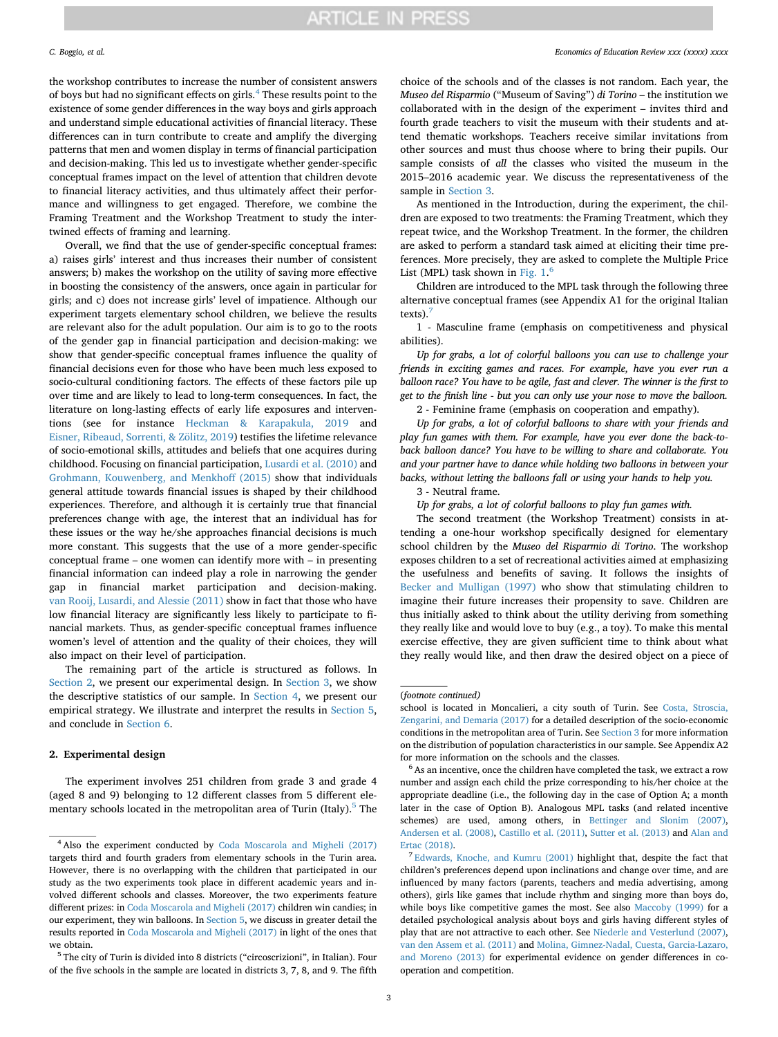the workshop contributes to increase the number of consistent answers of boys but had no significant effects on girls.[4](#page-2-1) These results point to the existence of some gender differences in the way boys and girls approach and understand simple educational activities of financial literacy. These differences can in turn contribute to create and amplify the diverging patterns that men and women display in terms of financial participation and decision-making. This led us to investigate whether gender-specific conceptual frames impact on the level of attention that children devote to financial literacy activities, and thus ultimately affect their performance and willingness to get engaged. Therefore, we combine the Framing Treatment and the Workshop Treatment to study the intertwined effects of framing and learning.

Overall, we find that the use of gender-specific conceptual frames: a) raises girls' interest and thus increases their number of consistent answers; b) makes the workshop on the utility of saving more effective in boosting the consistency of the answers, once again in particular for girls; and c) does not increase girls' level of impatience. Although our experiment targets elementary school children, we believe the results are relevant also for the adult population. Our aim is to go to the roots of the gender gap in financial participation and decision-making: we show that gender-specific conceptual frames influence the quality of financial decisions even for those who have been much less exposed to socio-cultural conditioning factors. The effects of these factors pile up over time and are likely to lead to long-term consequences. In fact, the literature on long-lasting effects of early life exposures and interventions (see for instance [Heckman & Karapakula, 2019](#page-11-41) and [Eisner, Ribeaud, Sorrenti, & Zölitz, 2019\)](#page-11-42) testifies the lifetime relevance of socio-emotional skills, attitudes and beliefs that one acquires during childhood. Focusing on financial participation, [Lusardi et al. \(2010\)](#page-11-37) and [Grohmann, Kouwenberg, and Menkhoff \(2015\)](#page-11-43) show that individuals general attitude towards financial issues is shaped by their childhood experiences. Therefore, and although it is certainly true that financial preferences change with age, the interest that an individual has for these issues or the way he/she approaches financial decisions is much more constant. This suggests that the use of a more gender-specific conceptual frame – one women can identify more with – in presenting financial information can indeed play a role in narrowing the gender gap in financial market participation and decision-making. [van Rooij, Lusardi, and Alessie \(2011\)](#page-11-44) show in fact that those who have low financial literacy are significantly less likely to participate to financial markets. Thus, as gender-specific conceptual frames influence women's level of attention and the quality of their choices, they will also impact on their level of participation.

The remaining part of the article is structured as follows. In [Section 2,](#page-2-0) we present our experimental design. In [Section 3](#page-3-0), we show the descriptive statistics of our sample. In [Section 4](#page-6-0), we present our empirical strategy. We illustrate and interpret the results in [Section 5](#page-7-0), and conclude in [Section 6](#page-10-1).

#### <span id="page-2-0"></span>**2. Experimental design**

The experiment involves 251 children from grade 3 and grade 4 (aged 8 and 9) belonging to 12 different classes from 5 different ele-mentary schools located in the metropolitan area of Turin (Italy).<sup>[5](#page-2-2)</sup> The

#### *C. Boggio, et al. Economics of Education Review xxx (xxxx) xxxx*

choice of the schools and of the classes is not random. Each year, the *Museo del Risparmio* ("Museum of Saving") *di Torino* – the institution we collaborated with in the design of the experiment – invites third and fourth grade teachers to visit the museum with their students and attend thematic workshops. Teachers receive similar invitations from other sources and must thus choose where to bring their pupils. Our sample consists of *all* the classes who visited the museum in the 2015–2016 academic year. We discuss the representativeness of the sample in [Section 3](#page-3-0).

As mentioned in the Introduction, during the experiment, the children are exposed to two treatments: the Framing Treatment, which they repeat twice, and the Workshop Treatment. In the former, the children are asked to perform a standard task aimed at eliciting their time preferences. More precisely, they are asked to complete the Multiple Price List (MPL) task shown in Fig.  $1.^6$  $1.^6$ 

Children are introduced to the MPL task through the following three alternative conceptual frames (see Appendix A1 for the original Italian texts).<sup>7</sup>

1 - Masculine frame (emphasis on competitiveness and physical abilities).

*Up for grabs, a lot of colorful balloons you can use to challenge your friends in exciting games and races. For example, have you ever run a balloon race? You have to be agile, fast and clever. The winner is the first to get to the finish line - but you can only use your nose to move the balloon.*

2 - Feminine frame (emphasis on cooperation and empathy).

*Up for grabs, a lot of colorful balloons to share with your friends and play fun games with them. For example, have you ever done the back-toback balloon dance? You have to be willing to share and collaborate. You and your partner have to dance while holding two balloons in between your backs, without letting the balloons fall or using your hands to help you.*

3 - Neutral frame.

*Up for grabs, a lot of colorful balloons to play fun games with.*

The second treatment (the Workshop Treatment) consists in attending a one-hour workshop specifically designed for elementary school children by the *Museo del Risparmio di Torino*. The workshop exposes children to a set of recreational activities aimed at emphasizing the usefulness and benefits of saving. It follows the insights of [Becker and Mulligan \(1997\)](#page-11-34) who show that stimulating children to imagine their future increases their propensity to save. Children are thus initially asked to think about the utility deriving from something they really like and would love to buy (e.g., a toy). To make this mental exercise effective, they are given sufficient time to think about what they really would like, and then draw the desired object on a piece of

<span id="page-2-1"></span><sup>4</sup> Also the experiment conducted by [Coda Moscarola and Migheli \(2017\)](#page-11-36) targets third and fourth graders from elementary schools in the Turin area. However, there is no overlapping with the children that participated in our study as the two experiments took place in different academic years and involved different schools and classes. Moreover, the two experiments feature different prizes: in [Coda Moscarola and Migheli \(2017\)](#page-11-36) children win candies; in our experiment, they win balloons. In [Section 5](#page-7-0), we discuss in greater detail the results reported in [Coda Moscarola and Migheli \(2017\)](#page-11-36) in light of the ones that we obtain.

<span id="page-2-2"></span><sup>5</sup> The city of Turin is divided into 8 districts ("circoscrizioni", in Italian). Four of the five schools in the sample are located in districts 3, 7, 8, and 9. The fifth

<sup>(</sup>*footnote continued)*

school is located in Moncalieri, a city south of Turin. See [Costa, Stroscia,](#page-11-45) [Zengarini, and Demaria \(2017\)](#page-11-45) for a detailed description of the socio-economic conditions in the metropolitan area of Turin. See [Section 3](#page-3-0) for more information on the distribution of population characteristics in our sample. See Appendix A2 for more information on the schools and the classes.

<span id="page-2-3"></span><sup>6</sup> As an incentive, once the children have completed the task, we extract a row number and assign each child the prize corresponding to his/her choice at the appropriate deadline (i.e., the following day in the case of Option A; a month later in the case of Option B). Analogous MPL tasks (and related incentive schemes) are used, among others, in [Bettinger and Slonim \(2007\),](#page-11-33) [Andersen et al. \(2008\)](#page-11-46), [Castillo et al. \(2011\),](#page-11-47) [Sutter et al. \(2013\)](#page-11-48) and [Alan and](#page-10-2) [Ertac \(2018\).](#page-10-2)

<span id="page-2-4"></span><sup>&</sup>lt;sup>7</sup> [Edwards, Knoche, and Kumru \(2001\)](#page-11-49) highlight that, despite the fact that children's preferences depend upon inclinations and change over time, and are influenced by many factors (parents, teachers and media advertising, among others), girls like games that include rhythm and singing more than boys do, while boys like competitive games the most. See also [Maccoby \(1999\)](#page-11-50) for a detailed psychological analysis about boys and girls having different styles of play that are not attractive to each other. See [Niederle and Vesterlund \(2007\),](#page-11-5) [van den Assem et al. \(2011\)](#page-11-11) and [Molina, Gimnez-Nadal, Cuesta, Garcia-Lazaro,](#page-11-51) [and Moreno \(2013\)](#page-11-51) for experimental evidence on gender differences in cooperation and competition.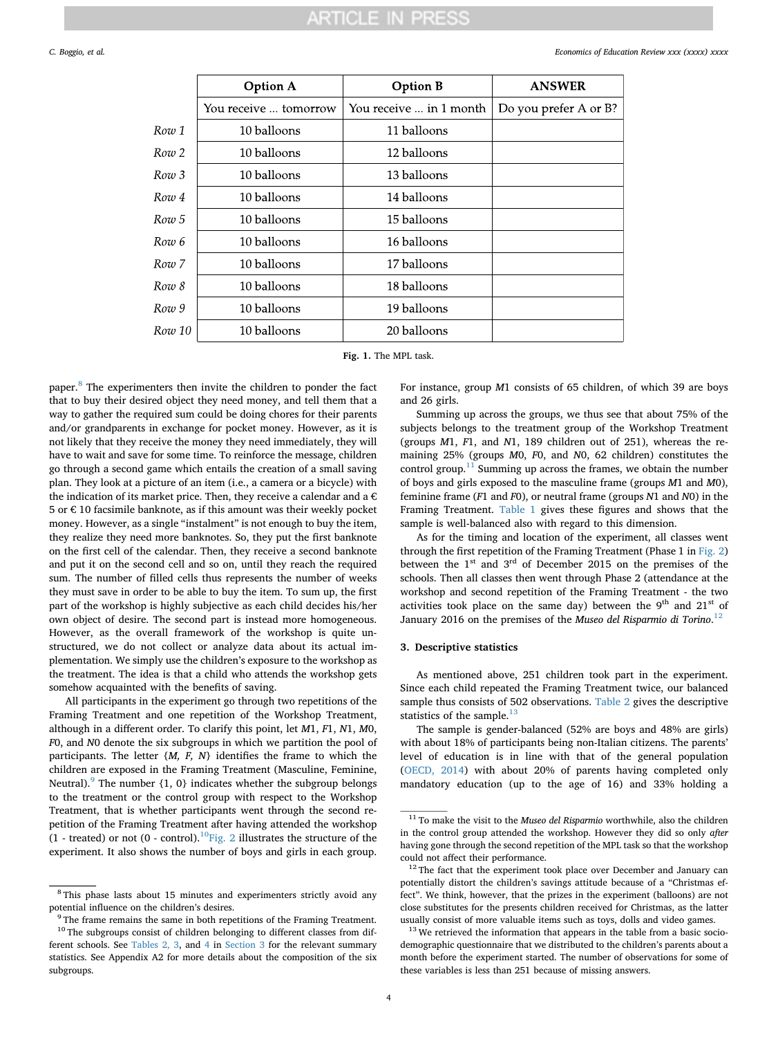<span id="page-3-1"></span>

|                  | <b>Option A</b>       | <b>Option B</b>         | <b>ANSWER</b>         |
|------------------|-----------------------|-------------------------|-----------------------|
|                  | You receive  tomorrow | You receive  in 1 month | Do you prefer A or B? |
| Row 1            | 10 balloons           | 11 balloons             |                       |
| Row 2            | 10 balloons           | 12 balloons             |                       |
| Row 3            | 10 balloons           | 13 balloons             |                       |
| Row 4            | 10 balloons           | 14 balloons             |                       |
| Row 5            | 10 balloons           | 15 balloons             |                       |
| Row 6            | 10 balloons           | 16 balloons             |                       |
| Row <sub>7</sub> | 10 balloons           | 17 balloons             |                       |
| Row 8            | 10 balloons           | 18 balloons             |                       |
| Row 9            | 10 balloons           | 19 balloons             |                       |
| Row 10           | 10 balloons           | 20 balloons             |                       |

**Fig. 1.** The MPL task.

paper.<sup>[8](#page-3-2)</sup> The experimenters then invite the children to ponder the fact that to buy their desired object they need money, and tell them that a way to gather the required sum could be doing chores for their parents and/or grandparents in exchange for pocket money. However, as it is not likely that they receive the money they need immediately, they will have to wait and save for some time. To reinforce the message, children go through a second game which entails the creation of a small saving plan. They look at a picture of an item (i.e., a camera or a bicycle) with the indication of its market price. Then, they receive a calendar and a  $\epsilon$ 5 or € 10 facsimile banknote, as if this amount was their weekly pocket money. However, as a single "instalment" is not enough to buy the item, they realize they need more banknotes. So, they put the first banknote on the first cell of the calendar. Then, they receive a second banknote and put it on the second cell and so on, until they reach the required sum. The number of filled cells thus represents the number of weeks they must save in order to be able to buy the item. To sum up, the first part of the workshop is highly subjective as each child decides his/her own object of desire. The second part is instead more homogeneous. However, as the overall framework of the workshop is quite unstructured, we do not collect or analyze data about its actual implementation. We simply use the children's exposure to the workshop as the treatment. The idea is that a child who attends the workshop gets somehow acquainted with the benefits of saving.

All participants in the experiment go through two repetitions of the Framing Treatment and one repetition of the Workshop Treatment, although in a different order. To clarify this point, let *M*1, *F*1, *N*1, *M*0, *F*0, and *N*0 denote the six subgroups in which we partition the pool of participants. The letter {*M, F, N*} identifies the frame to which the children are exposed in the Framing Treatment (Masculine, Feminine, Neutral).<sup>[9](#page-3-3)</sup> The number  $\{1, 0\}$  indicates whether the subgroup belongs to the treatment or the control group with respect to the Workshop Treatment, that is whether participants went through the second repetition of the Framing Treatment after having attended the workshop (1 - treated) or not (0 - control). $^{10}$  $^{10}$  $^{10}$ [Fig. 2](#page-4-0) illustrates the structure of the experiment. It also shows the number of boys and girls in each group.

subgroups.

For instance, group *M*1 consists of 65 children, of which 39 are boys and 26 girls.

Summing up across the groups, we thus see that about 75% of the subjects belongs to the treatment group of the Workshop Treatment (groups *M*1, *F*1, and *N*1, 189 children out of 251), whereas the remaining 25% (groups *M*0, *F*0, and *N*0, 62 children) constitutes the control group. $11$  Summing up across the frames, we obtain the number of boys and girls exposed to the masculine frame (groups *M*1 and *M*0), feminine frame (*F*1 and *F*0), or neutral frame (groups *N*1 and *N*0) in the Framing Treatment. [Table 1](#page-4-1) gives these figures and shows that the sample is well-balanced also with regard to this dimension.

As for the timing and location of the experiment, all classes went through the first repetition of the Framing Treatment (Phase 1 in [Fig. 2\)](#page-4-0) between the  $1<sup>st</sup>$  and  $3<sup>rd</sup>$  of December 2015 on the premises of the schools. Then all classes then went through Phase 2 (attendance at the workshop and second repetition of the Framing Treatment - the two activities took place on the same day) between the  $9<sup>th</sup>$  and  $21<sup>st</sup>$  of January 2016 on the premises of the *Museo del Risparmio di Torino*. [12](#page-3-6)

### <span id="page-3-0"></span>**3. Descriptive statistics**

As mentioned above, 251 children took part in the experiment. Since each child repeated the Framing Treatment twice, our balanced sample thus consists of 502 observations. [Table 2](#page-4-2) gives the descriptive statistics of the sample. $13$ 

The sample is gender-balanced (52% are boys and 48% are girls) with about 18% of participants being non-Italian citizens. The parents' level of education is in line with that of the general population ([OECD, 2014\)](#page-11-52) with about 20% of parents having completed only mandatory education (up to the age of 16) and 33% holding a

<span id="page-3-2"></span><sup>8</sup> This phase lasts about 15 minutes and experimenters strictly avoid any potential influence on the children's desires.

<span id="page-3-4"></span><span id="page-3-3"></span><sup>&</sup>lt;sup>9</sup> The frame remains the same in both repetitions of the Framing Treatment.  $10$  The subgroups consist of children belonging to different classes from different schools. See [Tables 2, 3](#page-4-2), and [4](#page-5-0) in [Section 3](#page-3-0) for the relevant summary statistics. See Appendix A2 for more details about the composition of the six

<span id="page-3-5"></span><sup>11</sup> To make the visit to the *Museo del Risparmio* worthwhile, also the children in the control group attended the workshop. However they did so only *after* having gone through the second repetition of the MPL task so that the workshop could not affect their performance.

<span id="page-3-6"></span><sup>&</sup>lt;sup>12</sup> The fact that the experiment took place over December and January can potentially distort the children's savings attitude because of a "Christmas effect". We think, however, that the prizes in the experiment (balloons) are not close substitutes for the presents children received for Christmas, as the latter usually consist of more valuable items such as toys, dolls and video games.

<span id="page-3-7"></span> $13$  We retrieved the information that appears in the table from a basic sociodemographic questionnaire that we distributed to the children's parents about a month before the experiment started. The number of observations for some of these variables is less than 251 because of missing answers.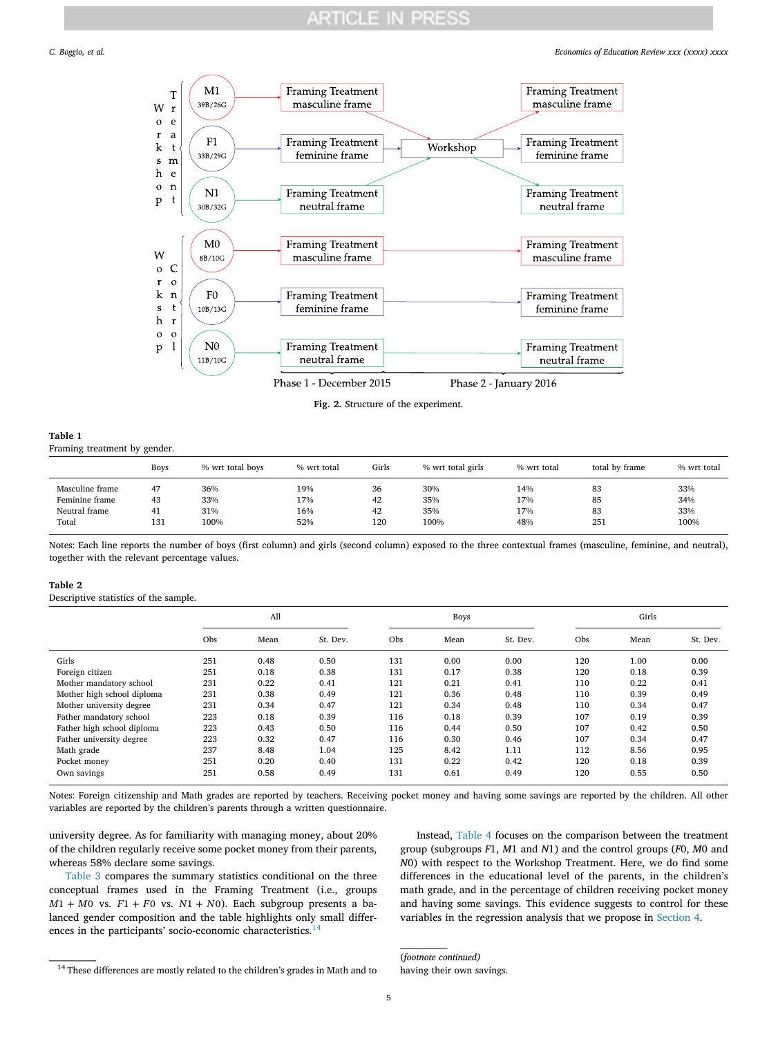#### <span id="page-4-0"></span>*C. Boggio, et al. Economics of Education Review xxx (xxxx) xxxx*



**Fig. 2.** Structure of the experiment.

<span id="page-4-1"></span>**Table 1** Framing treatment by gender.

|                 | <b>Boys</b> | % wrt total boys | % wrt total | Girls | % wrt total girls | % wrt total | total by frame | % wrt total |
|-----------------|-------------|------------------|-------------|-------|-------------------|-------------|----------------|-------------|
| Masculine frame | 47          | 36%              | 19%         | 36    | 30%               | 14%         | 83             | 33%         |
| Feminine frame  | 43          | 33%              | 17%         | 42    | 35%               | 17%         | 85             | 34%         |
| Neutral frame   | 41          | 31%              | 16%         | 42    | 35%               | 17%         | 83             | 33%         |
| Total           | 131         | 100%             | 52%         | 120   | 100%              | 48%         | 251            | 100%        |

Notes: Each line reports the number of boys (first column) and girls (second column) exposed to the three contextual frames (masculine, feminine, and neutral), together with the relevant percentage values.

#### <span id="page-4-2"></span>**Table 2**

Descriptive statistics of the sample.

|                            | All |      |          |            | <b>Boys</b> |          |     | Girls |          |  |
|----------------------------|-----|------|----------|------------|-------------|----------|-----|-------|----------|--|
|                            | Obs | Mean | St. Dev. | <b>Obs</b> | Mean        | St. Dev. | Obs | Mean  | St. Dev. |  |
| Girls                      | 251 | 0.48 | 0.50     | 131        | 0.00        | 0.00     | 120 | 1.00  | 0.00     |  |
| Foreign citizen            | 251 | 0.18 | 0.38     | 131        | 0.17        | 0.38     | 120 | 0.18  | 0.39     |  |
| Mother mandatory school    | 231 | 0.22 | 0.41     | 121        | 0.21        | 0.41     | 110 | 0.22  | 0.41     |  |
| Mother high school diploma | 231 | 0.38 | 0.49     | 121        | 0.36        | 0.48     | 110 | 0.39  | 0.49     |  |
| Mother university degree   | 231 | 0.34 | 0.47     | 121        | 0.34        | 0.48     | 110 | 0.34  | 0.47     |  |
| Father mandatory school    | 223 | 0.18 | 0.39     | 116        | 0.18        | 0.39     | 107 | 0.19  | 0.39     |  |
| Father high school diploma | 223 | 0.43 | 0.50     | 116        | 0.44        | 0.50     | 107 | 0.42  | 0.50     |  |
| Father university degree   | 223 | 0.32 | 0.47     | 116        | 0.30        | 0.46     | 107 | 0.34  | 0.47     |  |
| Math grade                 | 237 | 8.48 | 1.04     | 125        | 8.42        | 1.11     | 112 | 8.56  | 0.95     |  |
| Pocket money               | 251 | 0.20 | 0.40     | 131        | 0.22        | 0.42     | 120 | 0.18  | 0.39     |  |
| Own savings                | 251 | 0.58 | 0.49     | 131        | 0.61        | 0.49     | 120 | 0.55  | 0.50     |  |

Notes: Foreign citizenship and Math grades are reported by teachers. Receiving pocket money and having some savings are reported by the children. All other variables are reported by the children's parents through a written questionnaire.

university degree. As for familiarity with managing money, about 20% of the children regularly receive some pocket money from their parents, whereas 58% declare some savings.

[Table 3](#page-5-1) compares the summary statistics conditional on the three conceptual frames used in the Framing Treatment (i.e., groups  $M1 + M0$  vs.  $F1 + F0$  vs.  $N1 + N0$ ). Each subgroup presents a balanced gender composition and the table highlights only small differences in the participants' socio-economic characteristics.<sup>14</sup>

Instead, [Table 4](#page-5-0) focuses on the comparison between the treatment group (subgroups *F*1, *M*1 and *N*1) and the control groups (*F*0, *M*0 and *N*0) with respect to the Workshop Treatment. Here, we do find some differences in the educational level of the parents, in the children's math grade, and in the percentage of children receiving pocket money and having some savings. This evidence suggests to control for these variables in the regression analysis that we propose in [Section 4.](#page-6-0)

(*footnote continued)* having their own savings.

<span id="page-4-3"></span> $^{\rm 14}$  These differences are mostly related to the children's grades in Math and to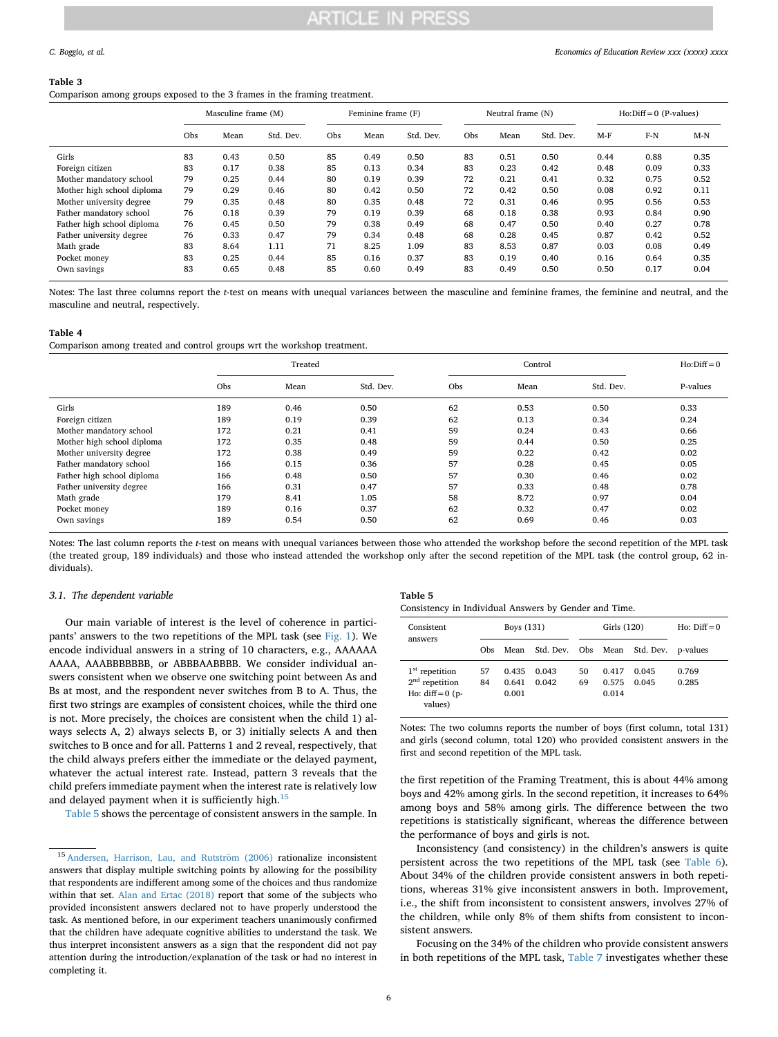#### <span id="page-5-1"></span>**Table 3**

Comparison among groups exposed to the 3 frames in the framing treatment.

|                            | Masculine frame (M) |      |           | Feminine frame (F) |      | Neutral frame (N) |     |      | $Ho:Diff = 0 (P-values)$ |       |       |       |
|----------------------------|---------------------|------|-----------|--------------------|------|-------------------|-----|------|--------------------------|-------|-------|-------|
|                            | Obs                 | Mean | Std. Dev. | Obs                | Mean | Std. Dev.         | Obs | Mean | Std. Dev.                | $M-F$ | $F-N$ | $M-N$ |
| Girls                      | 83                  | 0.43 | 0.50      | 85                 | 0.49 | 0.50              | 83  | 0.51 | 0.50                     | 0.44  | 0.88  | 0.35  |
| Foreign citizen            | 83                  | 0.17 | 0.38      | 85                 | 0.13 | 0.34              | 83  | 0.23 | 0.42                     | 0.48  | 0.09  | 0.33  |
| Mother mandatory school    | 79                  | 0.25 | 0.44      | 80                 | 0.19 | 0.39              | 72  | 0.21 | 0.41                     | 0.32  | 0.75  | 0.52  |
| Mother high school diploma | 79                  | 0.29 | 0.46      | 80                 | 0.42 | 0.50              | 72  | 0.42 | 0.50                     | 0.08  | 0.92  | 0.11  |
| Mother university degree   | 79                  | 0.35 | 0.48      | 80                 | 0.35 | 0.48              | 72  | 0.31 | 0.46                     | 0.95  | 0.56  | 0.53  |
| Father mandatory school    | 76                  | 0.18 | 0.39      | 79                 | 0.19 | 0.39              | 68  | 0.18 | 0.38                     | 0.93  | 0.84  | 0.90  |
| Father high school diploma | 76                  | 0.45 | 0.50      | 79                 | 0.38 | 0.49              | 68  | 0.47 | 0.50                     | 0.40  | 0.27  | 0.78  |
| Father university degree   | 76                  | 0.33 | 0.47      | 79                 | 0.34 | 0.48              | 68  | 0.28 | 0.45                     | 0.87  | 0.42  | 0.52  |
| Math grade                 | 83                  | 8.64 | 1.11      | 71                 | 8.25 | 1.09              | 83  | 8.53 | 0.87                     | 0.03  | 0.08  | 0.49  |
| Pocket money               | 83                  | 0.25 | 0.44      | 85                 | 0.16 | 0.37              | 83  | 0.19 | 0.40                     | 0.16  | 0.64  | 0.35  |
| Own savings                | 83                  | 0.65 | 0.48      | 85                 | 0.60 | 0.49              | 83  | 0.49 | 0.50                     | 0.50  | 0.17  | 0.04  |

Notes: The last three columns report the *t*-test on means with unequal variances between the masculine and feminine frames, the feminine and neutral, and the masculine and neutral, respectively.

#### <span id="page-5-0"></span>**Table 4**

Comparison among treated and control groups wrt the workshop treatment.

|                            |     | Treated |           |     | Control |           |          |  |
|----------------------------|-----|---------|-----------|-----|---------|-----------|----------|--|
|                            | Obs | Mean    | Std. Dev. | Obs | Mean    | Std. Dev. | P-values |  |
| Girls                      | 189 | 0.46    | 0.50      | 62  | 0.53    | 0.50      | 0.33     |  |
| Foreign citizen            | 189 | 0.19    | 0.39      | 62  | 0.13    | 0.34      | 0.24     |  |
| Mother mandatory school    | 172 | 0.21    | 0.41      | 59  | 0.24    | 0.43      | 0.66     |  |
| Mother high school diploma | 172 | 0.35    | 0.48      | 59  | 0.44    | 0.50      | 0.25     |  |
| Mother university degree   | 172 | 0.38    | 0.49      | 59  | 0.22    | 0.42      | 0.02     |  |
| Father mandatory school    | 166 | 0.15    | 0.36      | 57  | 0.28    | 0.45      | 0.05     |  |
| Father high school diploma | 166 | 0.48    | 0.50      | 57  | 0.30    | 0.46      | 0.02     |  |
| Father university degree   | 166 | 0.31    | 0.47      | 57  | 0.33    | 0.48      | 0.78     |  |
| Math grade                 | 179 | 8.41    | 1.05      | 58  | 8.72    | 0.97      | 0.04     |  |
| Pocket money               | 189 | 0.16    | 0.37      | 62  | 0.32    | 0.47      | 0.02     |  |
| Own savings                | 189 | 0.54    | 0.50      | 62  | 0.69    | 0.46      | 0.03     |  |

Notes: The last column reports the *t*-test on means with unequal variances between those who attended the workshop before the second repetition of the MPL task (the treated group, 189 individuals) and those who instead attended the workshop only after the second repetition of the MPL task (the control group, 62 individuals).

#### <span id="page-5-4"></span>*3.1. The dependent variable*

Our main variable of interest is the level of coherence in participants' answers to the two repetitions of the MPL task (see [Fig. 1](#page-3-1)). We encode individual answers in a string of 10 characters, e.g., AAAAAA AAAA, AAABBBBBBB, or ABBBAABBBB. We consider individual answers consistent when we observe one switching point between As and Bs at most, and the respondent never switches from B to A. Thus, the first two strings are examples of consistent choices, while the third one is not. More precisely, the choices are consistent when the child 1) always selects A, 2) always selects B, or 3) initially selects A and then switches to B once and for all. Patterns 1 and 2 reveal, respectively, that the child always prefers either the immediate or the delayed payment, whatever the actual interest rate. Instead, pattern 3 reveals that the child prefers immediate payment when the interest rate is relatively low and delayed payment when it is sufficiently high. $15$ 

[Table 5](#page-5-3) shows the percentage of consistent answers in the sample. In

<span id="page-5-3"></span>

| в |  |
|---|--|
|---|--|

Consistency in Individual Answers by Gender and Time.

| Consistent<br>answers                                                 |          | Boys (131)              |                    |          | Girls (120)             |                | Ho: $Diff = 0$ |
|-----------------------------------------------------------------------|----------|-------------------------|--------------------|----------|-------------------------|----------------|----------------|
|                                                                       | Obs      | Mean                    | Std. Dev. Obs Mean |          |                         | Std. Dev.      | p-values       |
| $1st$ repetition<br>$2nd$ repetition<br>Ho: $diff = 0$ (p-<br>values) | 57<br>84 | 0.435<br>0.641<br>0.001 | 0.043<br>0.042     | 50<br>69 | 0.417<br>0.575<br>0.014 | 0.045<br>0.045 | 0.769<br>0.285 |

Notes: The two columns reports the number of boys (first column, total 131) and girls (second column, total 120) who provided consistent answers in the first and second repetition of the MPL task.

the first repetition of the Framing Treatment, this is about 44% among boys and 42% among girls. In the second repetition, it increases to 64% among boys and 58% among girls. The difference between the two repetitions is statistically significant, whereas the difference between the performance of boys and girls is not.

Inconsistency (and consistency) in the children's answers is quite persistent across the two repetitions of the MPL task (see [Table 6](#page-6-1)). About 34% of the children provide consistent answers in both repetitions, whereas 31% give inconsistent answers in both. Improvement, i.e., the shift from inconsistent to consistent answers, involves 27% of the children, while only 8% of them shifts from consistent to inconsistent answers.

Focusing on the 34% of the children who provide consistent answers in both repetitions of the MPL task, [Table 7](#page-6-2) investigates whether these

<span id="page-5-2"></span><sup>15</sup> [Andersen, Harrison, Lau, and Rutström \(2006\)](#page-11-53) rationalize inconsistent answers that display multiple switching points by allowing for the possibility that respondents are indifferent among some of the choices and thus randomize within that set. [Alan and Ertac \(2018\)](#page-10-2) report that some of the subjects who provided inconsistent answers declared not to have properly understood the task. As mentioned before, in our experiment teachers unanimously confirmed that the children have adequate cognitive abilities to understand the task. We thus interpret inconsistent answers as a sign that the respondent did not pay attention during the introduction/explanation of the task or had no interest in completing it.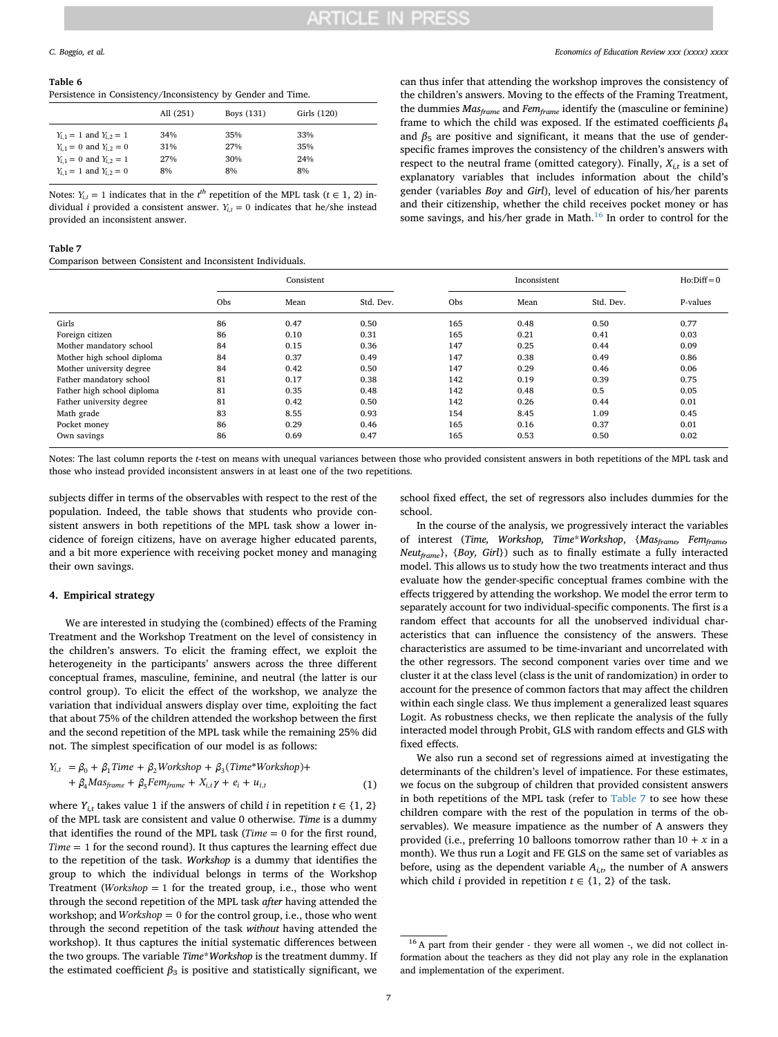#### <span id="page-6-1"></span>**Table 6**

Persistence in Consistency/Inconsistency by Gender and Time.

|                                 | All (251) | Boys (131) | Girls (120) |
|---------------------------------|-----------|------------|-------------|
| $Y_{i,1} = 1$ and $Y_{i,2} = 1$ | 34%       | 35%        | 33%         |
| $Y_{i,1} = 0$ and $Y_{i,2} = 0$ | 31%       | 27%        | 35%         |
| $Y_{i,1} = 0$ and $Y_{i,2} = 1$ | 27%       | 30%        | 24%         |
| $Y_{i,1} = 1$ and $Y_{i,2} = 0$ | 8%        | 8%         | 8%          |

Notes:  $Y_{i,t} = 1$  indicates that in the  $t^{th}$  repetition of the MPL task ( $t \in 1, 2$ ) individual *i* provided a consistent answer.  $Y_{i,t} = 0$  indicates that he/she instead provided an inconsistent answer.

#### <span id="page-6-2"></span>**Table 7**

Comparison between Consistent and Inconsistent Individuals.

can thus infer that attending the workshop improves the consistency of the children's answers. Moving to the effects of the Framing Treatment, the dummies *Masframe* and *Femframe* identify the (masculine or feminine) frame to which the child was exposed. If the estimated coefficients *β*<sup>4</sup> and  $\beta_5$  are positive and significant, it means that the use of genderspecific frames improves the consistency of the children's answers with respect to the neutral frame (omitted category). Finally,  $X_{i,t}$  is a set of explanatory variables that includes information about the child's gender (variables *Boy* and *Girl*), level of education of his/her parents and their citizenship, whether the child receives pocket money or has some savings, and his/her grade in Math. $16$  In order to control for the

|                            |     | Consistent |           |     | Inconsistent |           |          |  |
|----------------------------|-----|------------|-----------|-----|--------------|-----------|----------|--|
|                            | Obs | Mean       | Std. Dev. | Obs | Mean         | Std. Dev. | P-values |  |
| Girls                      | 86  | 0.47       | 0.50      | 165 | 0.48         | 0.50      | 0.77     |  |
| Foreign citizen            | 86  | 0.10       | 0.31      | 165 | 0.21         | 0.41      | 0.03     |  |
| Mother mandatory school    | 84  | 0.15       | 0.36      | 147 | 0.25         | 0.44      | 0.09     |  |
| Mother high school diploma | 84  | 0.37       | 0.49      | 147 | 0.38         | 0.49      | 0.86     |  |
| Mother university degree   | 84  | 0.42       | 0.50      | 147 | 0.29         | 0.46      | 0.06     |  |
| Father mandatory school    | 81  | 0.17       | 0.38      | 142 | 0.19         | 0.39      | 0.75     |  |
| Father high school diploma | 81  | 0.35       | 0.48      | 142 | 0.48         | 0.5       | 0.05     |  |
| Father university degree   | 81  | 0.42       | 0.50      | 142 | 0.26         | 0.44      | 0.01     |  |
| Math grade                 | 83  | 8.55       | 0.93      | 154 | 8.45         | 1.09      | 0.45     |  |
| Pocket money               | 86  | 0.29       | 0.46      | 165 | 0.16         | 0.37      | 0.01     |  |
| Own savings                | 86  | 0.69       | 0.47      | 165 | 0.53         | 0.50      | 0.02     |  |

Notes: The last column reports the *t*-test on means with unequal variances between those who provided consistent answers in both repetitions of the MPL task and those who instead provided inconsistent answers in at least one of the two repetitions.

subjects differ in terms of the observables with respect to the rest of the population. Indeed, the table shows that students who provide consistent answers in both repetitions of the MPL task show a lower incidence of foreign citizens, have on average higher educated parents, and a bit more experience with receiving pocket money and managing their own savings.

#### <span id="page-6-0"></span>**4. Empirical strategy**

We are interested in studying the (combined) effects of the Framing Treatment and the Workshop Treatment on the level of consistency in the children's answers. To elicit the framing effect, we exploit the heterogeneity in the participants' answers across the three different conceptual frames, masculine, feminine, and neutral (the latter is our control group). To elicit the effect of the workshop, we analyze the variation that individual answers display over time, exploiting the fact that about 75% of the children attended the workshop between the first and the second repetition of the MPL task while the remaining 25% did not. The simplest specification of our model is as follows:

$$
Y_{i,t} = \beta_0 + \beta_1 Time + \beta_2 Workshop + \beta_3 (Time*Workshop) ++ \beta_4 Mas_{frame} + \beta_5 Fem_{frame} + X_{i,t} \gamma + e_i + u_{i,t}
$$
 (1)

where  $Y_{i,t}$  takes value 1 if the answers of child *i* in repetition  $t \in \{1, 2\}$ of the MPL task are consistent and value 0 otherwise. *Time* is a dummy that identifies the round of the MPL task ( *Time* = 0 for the first round, *Time* = 1 for the second round). It thus captures the learning effect due to the repetition of the task. *Workshop* is a dummy that identifies the group to which the individual belongs in terms of the Workshop Treatment (*Workshop*  $= 1$  for the treated group, i.e., those who went through the second repetition of the MPL task *after* having attended the workshop; and *Workshop* = 0 for the control group, i.e., those who went through the second repetition of the task *without* having attended the workshop). It thus captures the initial systematic differences between the two groups. The variable *Time*\**Workshop* is the treatment dummy. If the estimated coefficient  $\beta_3$  is positive and statistically significant, we school fixed effect, the set of regressors also includes dummies for the school.

In the course of the analysis, we progressively interact the variables of interest (*Time, Workshop, Time*\**Workshop*, {*Masframe, Femframe, Neutframe*}, {*Boy, Girl*}) such as to finally estimate a fully interacted model. This allows us to study how the two treatments interact and thus evaluate how the gender-specific conceptual frames combine with the effects triggered by attending the workshop. We model the error term to separately account for two individual-specific components. The first is a random effect that accounts for all the unobserved individual characteristics that can influence the consistency of the answers. These characteristics are assumed to be time-invariant and uncorrelated with the other regressors. The second component varies over time and we cluster it at the class level (class is the unit of randomization) in order to account for the presence of common factors that may affect the children within each single class. We thus implement a generalized least squares Logit. As robustness checks, we then replicate the analysis of the fully interacted model through Probit, GLS with random effects and GLS with fixed effects.

We also run a second set of regressions aimed at investigating the determinants of the children's level of impatience. For these estimates, we focus on the subgroup of children that provided consistent answers in both repetitions of the MPL task (refer to [Table 7](#page-6-2) to see how these children compare with the rest of the population in terms of the observables). We measure impatience as the number of A answers they provided (i.e., preferring 10 balloons tomorrow rather than  $10 + x$  in a month). We thus run a Logit and FE GLS on the same set of variables as before, using as the dependent variable  $A_{i,t}$ , the number of A answers which child *i* provided in repetition  $t \in \{1, 2\}$  of the task.

<span id="page-6-3"></span><sup>&</sup>lt;sup>16</sup> A part from their gender - they were all women -, we did not collect information about the teachers as they did not play any role in the explanation and implementation of the experiment.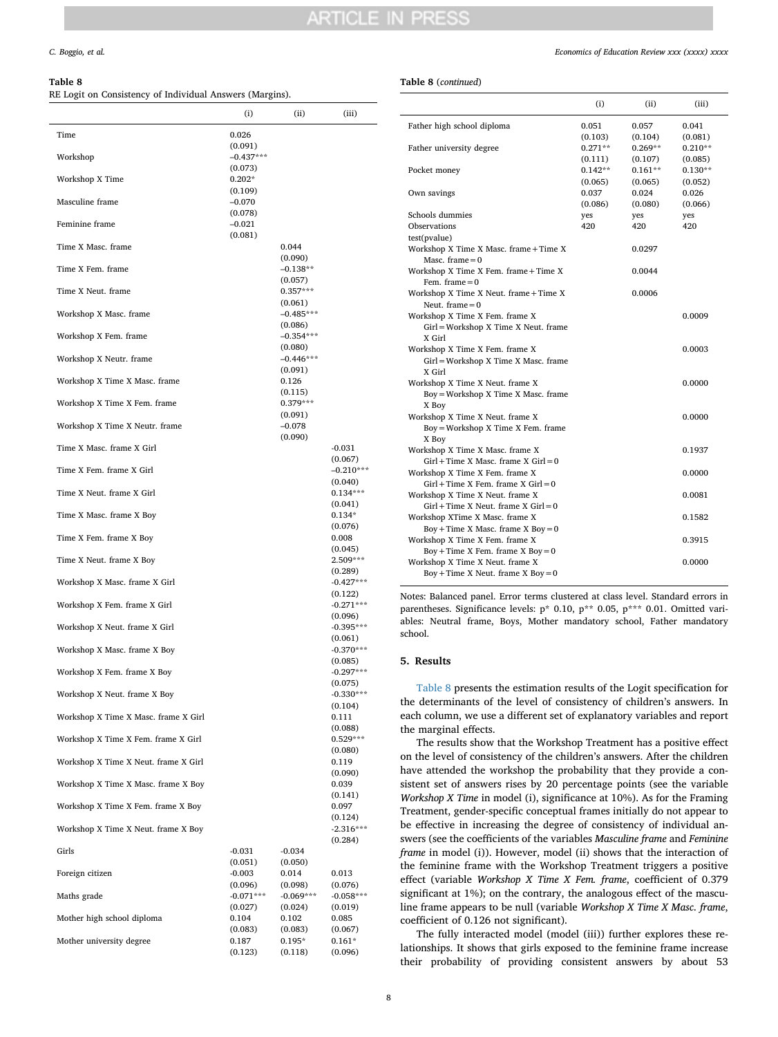## <span id="page-7-1"></span>**Table 8**

RE Logit on Consistency of Individual Answers (Margins).

| ль боди он соныменсу от пинуциат либуеть (магуны). | (i)                            | (ii)                   | (iii)                             |
|----------------------------------------------------|--------------------------------|------------------------|-----------------------------------|
| Time                                               | 0.026                          |                        |                                   |
| Workshop                                           | (0.091)<br>$-0.437***$         |                        |                                   |
| Workshop X Time                                    | (0.073)<br>$0.202*$            |                        |                                   |
| Masculine frame                                    | (0.109)<br>$-0.070$            |                        |                                   |
| Feminine frame                                     | (0.078)<br>$-0.021$<br>(0.081) |                        |                                   |
| Time X Masc. frame                                 |                                | 0.044<br>(0.090)       |                                   |
| Time X Fem. frame                                  |                                | $-0.138**$<br>(0.057)  |                                   |
| Time X Neut. frame                                 |                                | $0.357***$<br>(0.061)  |                                   |
| Workshop X Masc. frame                             |                                | $-0.485***$<br>(0.086) |                                   |
| Workshop X Fem. frame                              |                                | $-0.354***$<br>(0.080) |                                   |
| Workshop X Neutr. frame                            |                                | $-0.446***$<br>(0.091) |                                   |
| Workshop X Time X Masc. frame                      |                                | 0.126<br>(0.115)       |                                   |
| Workshop X Time X Fem. frame                       |                                | $0.379***$<br>(0.091)  |                                   |
| Workshop X Time X Neutr. frame                     |                                | $-0.078$<br>(0.090)    |                                   |
| Time X Masc. frame X Girl                          |                                |                        | $-0.031$<br>(0.067)               |
| Time X Fem. frame X Girl                           |                                |                        | $-0.210***$                       |
| Time X Neut. frame X Girl                          |                                |                        | (0.040)<br>$0.134***$             |
| Time X Masc. frame X Boy                           |                                |                        | (0.041)<br>$0.134*$               |
| Time X Fem. frame X Boy                            |                                |                        | (0.076)<br>0.008                  |
| Time X Neut. frame X Boy                           |                                |                        | (0.045)<br>2.509***               |
| Workshop X Masc. frame X Girl                      |                                |                        | (0.289)<br>$-0.427***$            |
| Workshop X Fem. frame X Girl                       |                                |                        | (0.122)<br>$-0.271***$<br>(0.096) |
| Workshop X Neut. frame X Girl                      |                                |                        | $-0.395***$                       |
| Workshop X Masc. frame X Boy                       |                                |                        | (0.061)<br>$-0.370***$            |
| Workshop X Fem. frame X Boy                        |                                |                        | (0.085)<br>$-0.297***$            |
| Workshop X Neut. frame X Boy                       |                                |                        | (0.075)<br>$-0.330***$<br>(0.104) |
| Workshop X Time X Masc. frame X Girl               |                                |                        | 0.111<br>(0.088)                  |
| Workshop X Time X Fem. frame X Girl                |                                |                        | $0.529***$<br>(0.080)             |
| Workshop X Time X Neut. frame X Girl               |                                |                        | 0.119<br>(0.090)                  |
| Workshop X Time X Masc. frame X Boy                |                                |                        | 0.039<br>(0.141)                  |
| Workshop X Time X Fem. frame X Boy                 |                                |                        | 0.097<br>(0.124)                  |
| Workshop X Time X Neut. frame X Boy                |                                |                        | $-2.316***$<br>(0.284)            |
| Girls                                              | $-0.031$                       | $-0.034$               |                                   |
| Foreign citizen                                    | (0.051)<br>$-0.003$            | (0.050)<br>0.014       | 0.013                             |
| Maths grade                                        | (0.096)<br>$-0.071***$         | (0.098)<br>$-0.069***$ | (0.076)<br>$-0.058***$            |
| Mother high school diploma                         | (0.027)<br>0.104               | (0.024)<br>0.102       | (0.019)<br>0.085                  |
| Mother university degree                           | (0.083)<br>0.187               | (0.083)<br>$0.195*$    | (0.067)<br>$0.161*$               |
|                                                    | (0.123)                        | (0.118)                | (0.096)                           |

#### **Table 8** (*continued*)

|                                                                           | (i)                  | (ii)                 | (iii)                |
|---------------------------------------------------------------------------|----------------------|----------------------|----------------------|
| Father high school diploma                                                | 0.051<br>(0.103)     | 0.057<br>(0.104)     | 0.041<br>(0.081)     |
| Father university degree                                                  | $0.271**$            | $0.269**$            | $0.210**$            |
| Pocket money                                                              | (0.111)<br>$0.142**$ | (0.107)<br>$0.161**$ | (0.085)<br>$0.130**$ |
| Own savings                                                               | (0.065)<br>0.037     | (0.065)<br>0.024     | (0.052)<br>0.026     |
|                                                                           | (0.086)              | (0.080)              | (0.066)              |
| Schools dummies<br>Observations                                           | yes<br>420           | yes                  | yes<br>420           |
| test(pvalue)                                                              |                      | 420                  |                      |
|                                                                           |                      |                      |                      |
| Workshop X Time X Masc. frame + Time X<br>Masc. frame $= 0$               |                      | 0.0297               |                      |
| Workshop X Time X Fem. frame + Time X<br>Fem. frame $= 0$                 |                      | 0.0044               |                      |
| Workshop X Time X Neut. frame + Time X                                    |                      | 0.0006               |                      |
| Neut. frame $= 0$                                                         |                      |                      |                      |
| Workshop X Time X Fem. frame X                                            |                      |                      | 0.0009               |
| Girl = Workshop X Time X Neut. frame<br>X Girl                            |                      |                      |                      |
| Workshop X Time X Fem. frame X                                            |                      |                      | 0.0003               |
| Girl = Workshop X Time X Masc. frame                                      |                      |                      |                      |
| X Girl                                                                    |                      |                      |                      |
| Workshop X Time X Neut. frame X<br>Boy = Workshop X Time X Masc. frame    |                      |                      | 0.0000               |
| X Boy                                                                     |                      |                      |                      |
| Workshop X Time X Neut. frame X<br>Boy = Workshop X Time X Fem. frame     |                      |                      | 0.0000               |
| X Boy                                                                     |                      |                      |                      |
| Workshop X Time X Masc. frame X                                           |                      |                      | 0.1937               |
| $Girl + Time X Masc. frame X Girl = 0$<br>Workshop X Time X Fem. frame X  |                      |                      | 0.0000               |
| $Girl + Time X Fem.$ frame X $Girl = 0$                                   |                      |                      |                      |
| Workshop X Time X Neut. frame X<br>$Girl + Time X Next. frame X Girl = 0$ |                      |                      | 0.0081               |
| Workshop XTime X Masc. frame X                                            |                      |                      | 0.1582               |
| $Boy + Time X$ Masc. frame X $Boy = 0$                                    |                      |                      |                      |
| Workshop X Time X Fem. frame X                                            |                      |                      | 0.3915               |
| $Boy + Time X$ Fem. frame $X$ Boy = 0<br>Workshop X Time X Neut. frame X  |                      |                      | 0.0000               |
| $Boy + Time X Neut.$ frame X $Boy = 0$                                    |                      |                      |                      |

Notes: Balanced panel. Error terms clustered at class level. Standard errors in parentheses. Significance levels: p\* 0.10, p\*\* 0.05, p\*\*\* 0.01. Omitted variables: Neutral frame, Boys, Mother mandatory school, Father mandatory school.

### <span id="page-7-0"></span>**5. Results**

[Table 8](#page-7-1) presents the estimation results of the Logit specification for the determinants of the level of consistency of children's answers. In each column, we use a different set of explanatory variables and report the marginal effects.

The results show that the Workshop Treatment has a positive effect on the level of consistency of the children's answers. After the children have attended the workshop the probability that they provide a consistent set of answers rises by 20 percentage points (see the variable *Workshop X Time* in model (i), significance at 10%). As for the Framing Treatment, gender-specific conceptual frames initially do not appear to be effective in increasing the degree of consistency of individual answers (see the coefficients of the variables *Masculine frame* and *Feminine frame* in model (i)). However, model (ii) shows that the interaction of the feminine frame with the Workshop Treatment triggers a positive effect (variable *Workshop X Time X Fem. frame*, coefficient of 0.379 significant at 1%); on the contrary, the analogous effect of the masculine frame appears to be null (variable *Workshop X Time X Masc. frame*, coefficient of 0.126 not significant).

The fully interacted model (model (iii)) further explores these relationships. It shows that girls exposed to the feminine frame increase their probability of providing consistent answers by about 53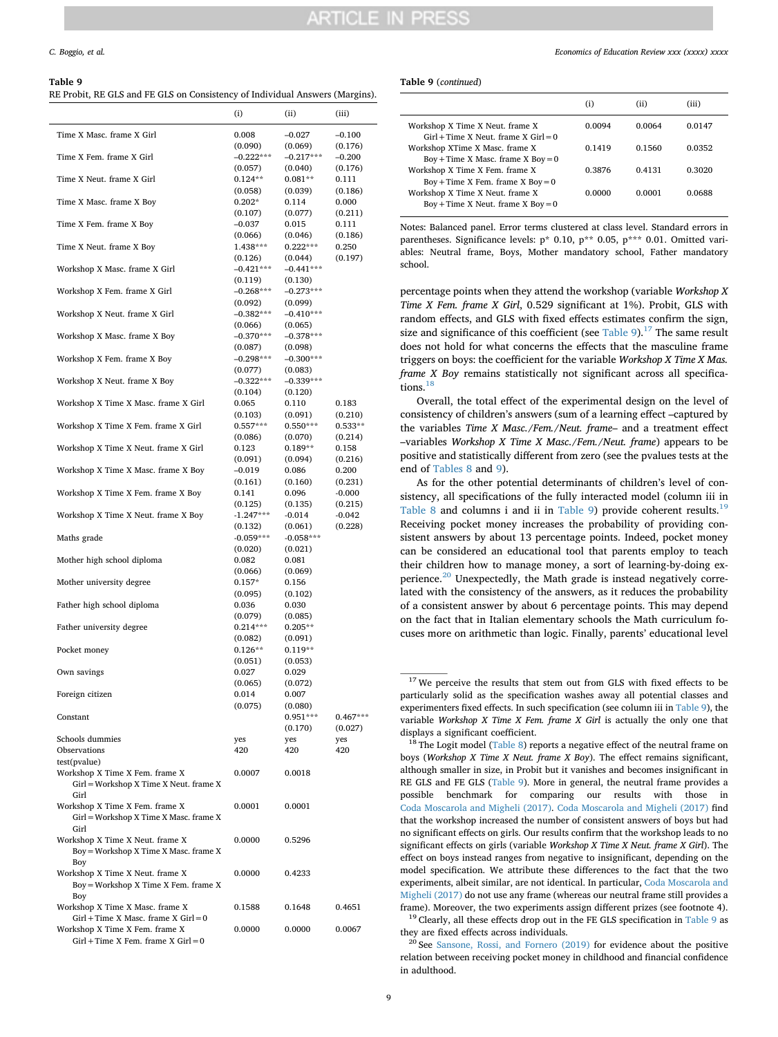## ARTICI E IN PRES

#### <span id="page-8-0"></span>**Table 9**

RE Probit, RE GLS and FE GLS on Consistency of Individual Answers (Margins).

|                                                                           | (i)                    | (11)                   | (iii)                |
|---------------------------------------------------------------------------|------------------------|------------------------|----------------------|
| Time X Masc. frame X Girl                                                 | 0.008                  | $-0.027$               | $-0.100$             |
|                                                                           | (0.090)                | (0.069)                | (0.176)              |
| Time X Fem. frame X Girl                                                  | $-0.222***$            | $-0.217***$            | $-0.200$             |
|                                                                           | (0.057)                | (0.040)                | (0.176)              |
| Time X Neut. frame X Girl                                                 | $0.124**$<br>(0.058)   | $0.081**$              | 0.111<br>(0.186)     |
| Time X Masc. frame X Boy                                                  | $0.202*$               | (0.039)<br>0.114       | 0.000                |
|                                                                           | (0.107)                | (0.077)                | (0.211)              |
| Time X Fem. frame X Boy                                                   | $-0.037$               | 0.015                  | 0.111                |
|                                                                           | (0.066)                | (0.046)                | (0.186)              |
| Time X Neut. frame X Boy                                                  | 1.438***               | $0.222***$             | 0.250                |
|                                                                           | (0.126)                | (0.044)                | (0.197)              |
| Workshop X Masc. frame X Girl                                             | $-0.421***$            | $-0.441***$            |                      |
|                                                                           | (0.119)                | (0.130)                |                      |
| Workshop X Fem. frame X Girl                                              | $-0.268***$            | $-0.273***$            |                      |
| Workshop X Neut. frame X Girl                                             | (0.092)                | (0.099)                |                      |
|                                                                           | $-0.382***$<br>(0.066) | $-0.410***$<br>(0.065) |                      |
| Workshop X Masc. frame X Boy                                              | $-0.370***$            | $-0.378***$            |                      |
|                                                                           | (0.087)                | (0.098)                |                      |
| Workshop X Fem. frame X Boy                                               | $-0.298***$            | $-0.300***$            |                      |
|                                                                           | (0.077)                | (0.083)                |                      |
| Workshop X Neut. frame X Boy                                              | $-0.322***$            | $-0.339***$            |                      |
|                                                                           | (0.104)                | (0.120)                |                      |
| Workshop X Time X Masc. frame X Girl                                      | 0.065                  | 0.110                  | 0.183                |
|                                                                           | (0.103)                | (0.091)                | (0.210)              |
| Workshop X Time X Fem. frame X Girl                                       | $0.557***$<br>(0.086)  | $0.550***$<br>(0.070)  | $0.533**$<br>(0.214) |
| Workshop X Time X Neut. frame X Girl                                      | 0.123                  | $0.189**$              | 0.158                |
|                                                                           | (0.091)                | (0.094)                | (0.216)              |
| Workshop X Time X Masc. frame X Boy                                       | -0.019                 | 0.086                  | 0.200                |
|                                                                           | (0.161)                | (0.160)                | (0.231)              |
| Workshop X Time X Fem. frame X Boy                                        | 0.141                  | 0.096                  | $-0.000$             |
|                                                                           | (0.125)                | (0.135)                | (0.215)              |
| Workshop X Time X Neut. frame X Boy                                       | $-1.247***$            | $-0.014$               | $-0.042$             |
| Maths grade                                                               | (0.132)<br>$-0.059***$ | (0.061)<br>$-0.058***$ | (0.228)              |
|                                                                           | (0.020)                | (0.021)                |                      |
| Mother high school diploma                                                | 0.082                  | 0.081                  |                      |
|                                                                           | (0.066)                | (0.069)                |                      |
| Mother university degree                                                  | $0.157*$               | 0.156                  |                      |
|                                                                           | (0.095)                | (0.102)                |                      |
| Father high school diploma                                                | 0.036                  | 0.030                  |                      |
| Father university degree                                                  | (0.079)<br>$0.214***$  | (0.085)<br>$0.205**$   |                      |
|                                                                           | (0.082)                | (0.091)                |                      |
| Pocket money                                                              | $0.126**$              | $0.119**$              |                      |
|                                                                           | (0.051)                | (0.053)                |                      |
| Own savings                                                               | 0.027                  | 0.029                  |                      |
|                                                                           | (0.065)                | (0.072)                |                      |
| Foreign citizen                                                           | 0.014                  | 0.007                  |                      |
|                                                                           | (0.075)                | (0.080)                |                      |
| Constant                                                                  |                        | $0.951***$             | $0.467***$           |
| Schools dummies                                                           | yes                    | (0.170)<br>yes         | (0.027)<br>yes       |
| Observations                                                              | 420                    | 420                    | 420                  |
| test(pvalue)                                                              |                        |                        |                      |
| Workshop X Time X Fem. frame X                                            | 0.0007                 | 0.0018                 |                      |
| Girl = Workshop X Time X Neut. frame X                                    |                        |                        |                      |
| Girl                                                                      |                        |                        |                      |
| Workshop X Time X Fem. frame X                                            | 0.0001                 | 0.0001                 |                      |
| Girl = Workshop X Time X Masc. frame X<br>Girl                            |                        |                        |                      |
| Workshop X Time X Neut. frame X                                           | 0.0000                 | 0.5296                 |                      |
| Boy = Workshop X Time X Masc. frame X                                     |                        |                        |                      |
| Boy                                                                       |                        |                        |                      |
| Workshop X Time X Neut. frame X                                           | 0.0000                 | 0.4233                 |                      |
| Boy = Workshop X Time X Fem. frame X                                      |                        |                        |                      |
| Boy                                                                       |                        |                        |                      |
| Workshop X Time X Masc. frame X                                           | 0.1588                 | 0.1648                 | 0.4651               |
| $Girl + Time X Mac. frame X Girl = 0$                                     |                        |                        |                      |
| Workshop X Time X Fem. frame X<br>$Girl$ + Time X Fem. frame X $Girl$ = 0 | 0.0000                 | 0.0000                 | 0.0067               |
|                                                                           |                        |                        |                      |

#### **Table 9** (*continued*)

|                                                                                                                  | $\left( i\right)$ | (ii)   | (iii)  |
|------------------------------------------------------------------------------------------------------------------|-------------------|--------|--------|
| Workshop X Time X Neut. frame X<br>$Girl + Time X Next. frame X Girl = 0$                                        | 0.0094            | 0.0064 | 0.0147 |
| Workshop XTime X Masc. frame X<br>$Boy + Time X$ Masc. frame X $Boy = 0$                                         | 0.1419            | 0.1560 | 0.0352 |
| Workshop X Time X Fem. frame X                                                                                   | 0.3876            | 0.4131 | 0.3020 |
| $Boy + Time X$ Fem. frame X Boy = 0<br>Workshop X Time X Neut. frame X<br>$Boy + Time X Neut.$ frame X $Boy = 0$ | 0.0000            | 0.0001 | 0.0688 |

Notes: Balanced panel. Error terms clustered at class level. Standard errors in parentheses. Significance levels:  $p^*$  0.10,  $p^{**}$  0.05,  $p^{***}$  0.01. Omitted variables: Neutral frame, Boys, Mother mandatory school, Father mandatory school.

percentage points when they attend the workshop (variable *Workshop X Time X Fem. frame X Girl*, 0.529 significant at 1%). Probit, GLS with random effects, and GLS with fixed effects estimates confirm the sign, size and significance of this coefficient (see [Table 9\)](#page-8-0).<sup>[17](#page-8-1)</sup> The same result does not hold for what concerns the effects that the masculine frame triggers on boys: the coefficient for the variable *Workshop X Time X Mas. frame X Boy* remains statistically not significant across all specifica-tions.<sup>[18](#page-8-2)</sup>

Overall, the total effect of the experimental design on the level of consistency of children's answers (sum of a learning effect –captured by the variables *Time X Masc./Fem./Neut. frame*– and a treatment effect –variables *Workshop X Time X Masc./Fem./Neut. frame*) appears to be positive and statistically different from zero (see the pvalues tests at the end of [Tables 8](#page-7-1) and [9](#page-8-0)).

As for the other potential determinants of children's level of consistency, all specifications of the fully interacted model (column iii in [Table 8](#page-7-1) and columns i and ii in [Table 9\)](#page-8-0) provide coherent results.<sup>[19](#page-8-3)</sup> Receiving pocket money increases the probability of providing consistent answers by about 13 percentage points. Indeed, pocket money can be considered an educational tool that parents employ to teach their children how to manage money, a sort of learning-by-doing ex-perience.<sup>[20](#page-8-4)</sup> Unexpectedly, the Math grade is instead negatively correlated with the consistency of the answers, as it reduces the probability of a consistent answer by about 6 percentage points. This may depend on the fact that in Italian elementary schools the Math curriculum focuses more on arithmetic than logic. Finally, parents' educational level

<span id="page-8-4"></span><span id="page-8-3"></span><sup>20</sup> See [Sansone, Rossi, and Fornero \(2019\)](#page-11-54) for evidence about the positive relation between receiving pocket money in childhood and financial confidence in adulthood.

<span id="page-8-1"></span> $17$  We perceive the results that stem out from GLS with fixed effects to be particularly solid as the specification washes away all potential classes and experimenters fixed effects. In such specification (see column iii in [Table 9](#page-8-0)), the variable *Workshop X Time X Fem. frame X Girl* is actually the only one that displays a significant coefficient.

<span id="page-8-2"></span><sup>&</sup>lt;sup>18</sup> The Logit model [\(Table 8\)](#page-7-1) reports a negative effect of the neutral frame on boys (*Workshop X Time X Neut. frame X Boy*). The effect remains significant, although smaller in size, in Probit but it vanishes and becomes insignificant in RE GLS and FE GLS ([Table 9](#page-8-0)). More in general, the neutral frame provides a possible benchmark for comparing our results with those in [Coda Moscarola and Migheli \(2017\)](#page-11-36). [Coda Moscarola and Migheli \(2017\)](#page-11-36) find that the workshop increased the number of consistent answers of boys but had no significant effects on girls. Our results confirm that the workshop leads to no significant effects on girls (variable *Workshop X Time X Neut. frame X Girl*). The effect on boys instead ranges from negative to insignificant, depending on the model specification. We attribute these differences to the fact that the two experiments, albeit similar, are not identical. In particular, [Coda Moscarola and](#page-11-36) [Migheli \(2017\)](#page-11-36) do not use any frame (whereas our neutral frame still provides a frame). Moreover, the two experiments assign different prizes (see footnote 4). <sup>19</sup> Clearly, all these effects drop out in the FE GLS specification in [Table 9](#page-8-0) as they are fixed effects across individuals.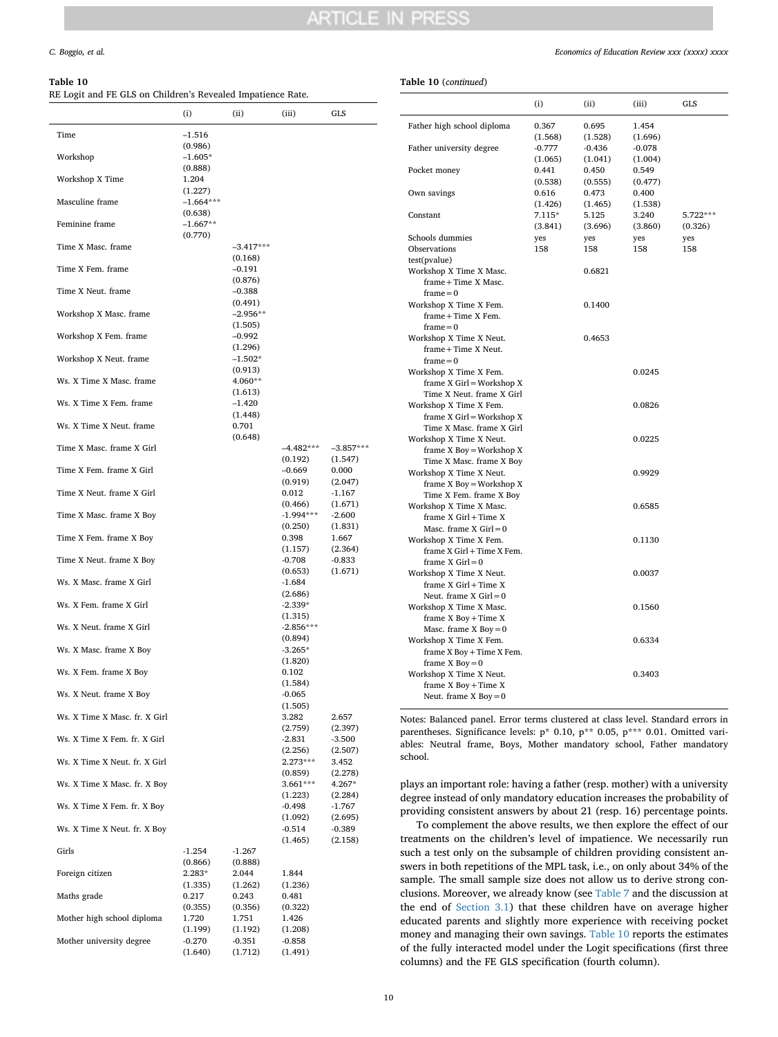#### <span id="page-9-0"></span>**Table 10**

#### **Table 10** (*continued*)

|                               | (i)                    | (ii)                  | (iii)                  | GLS                 |
|-------------------------------|------------------------|-----------------------|------------------------|---------------------|
| Time                          | $-1.516$               |                       |                        |                     |
| Workshop                      | (0.986)<br>$-1.605*$   |                       |                        |                     |
| Workshop X Time               | (0.888)<br>1.204       |                       |                        |                     |
| Masculine frame               | (1.227)<br>$-1.664***$ |                       |                        |                     |
| Feminine frame                | (0.638)<br>$-1.667**$  |                       |                        |                     |
| Time X Masc. frame            | (0.770)                | $-3.417***$           |                        |                     |
| Time X Fem. frame             |                        | (0.168)               |                        |                     |
|                               |                        | $-0.191$<br>(0.876)   |                        |                     |
| Time X Neut, frame            |                        | $-0.388$<br>(0.491)   |                        |                     |
| Workshop X Masc. frame        |                        | $-2.956**$<br>(1.505) |                        |                     |
| Workshop X Fem. frame         |                        | $-0.992$<br>(1.296)   |                        |                     |
| Workshop X Neut. frame        |                        | $-1.502*$<br>(0.913)  |                        |                     |
| Ws. X Time X Masc. frame      |                        | $4.060**$             |                        |                     |
| Ws. X Time X Fem. frame       |                        | (1.613)<br>$-1.420$   |                        |                     |
| Ws. X Time X Neut. frame      |                        | (1.448)<br>0.701      |                        |                     |
| Time X Masc. frame X Girl     |                        | (0.648)               | $-4.482***$            | $-3.857***$         |
| Time X Fem. frame X Girl      |                        |                       | (0.192)<br>-0.669      | (1.547)<br>0.000    |
| Time X Neut. frame X Girl     |                        |                       | (0.919)<br>0.012       | (2.047)<br>$-1.167$ |
| Time X Masc. frame X Boy      |                        |                       | (0.466)<br>$-1.994***$ | (1.671)<br>$-2.600$ |
|                               |                        |                       | (0.250)<br>0.398       | (1.831)             |
| Time X Fem. frame X Boy       |                        |                       | (1.157)                | 1.667<br>(2.364)    |
| Time X Neut. frame X Boy      |                        |                       | $-0.708$<br>(0.653)    | $-0.833$<br>(1.671) |
| Ws. X Masc. frame X Girl      |                        |                       | -1.684<br>(2.686)      |                     |
| Ws. X Fem. frame X Girl       |                        |                       | $-2.339*$<br>(1.315)   |                     |
| Ws. X Neut. frame X Girl      |                        |                       | $-2.856***$<br>(0.894) |                     |
| Ws. X Masc. frame X Boy       |                        |                       | $-3.265*$<br>(1.820)   |                     |
| Ws. X Fem. frame X Boy        |                        |                       | 0.102                  |                     |
| Ws. X Neut. frame X Boy       |                        |                       | (1.584)<br>$-0.065$    |                     |
| Ws. X Time X Masc. fr. X Girl |                        |                       | (1.505)<br>3.282       | 2.657               |
| Ws. X Time X Fem. fr. X Girl  |                        |                       | (2.759)<br>$-2.831$    | (2.397)<br>$-3.500$ |
| Ws. X Time X Neut. fr. X Girl |                        |                       | (2.256)<br>$2.273***$  | (2.507)<br>3.452    |
| Ws. X Time X Masc. fr. X Boy  |                        |                       | (0.859)<br>$3.661***$  | (2.278)<br>4.267*   |
| Ws. X Time X Fem. fr. X Boy   |                        |                       | (1.223)<br>-0.498      | (2.284)<br>$-1.767$ |
|                               |                        |                       | (1.092)<br>$-0.514$    | (2.695)             |
| Ws. X Time X Neut. fr. X Boy  |                        |                       | (1.465)                | $-0.389$<br>(2.158) |
| Girls                         | $-1.254$<br>(0.866)    | $-1.267$<br>(0.888)   |                        |                     |
| Foreign citizen               | $2.283*$<br>(1.335)    | 2.044<br>(1.262)      | 1.844<br>(1.236)       |                     |
| Maths grade                   | 0.217<br>(0.355)       | 0.243<br>(0.356)      | 0.481<br>(0.322)       |                     |
| Mother high school diploma    | 1.720<br>(1.199)       | 1.751<br>(1.192)      | 1.426<br>(1.208)       |                     |
| Mother university degree      | $-0.270$               | $-0.351$              | $-0.858$               |                     |
|                               | (1.640)                | (1.712)               | (1.491)                |                     |

|                                                      | $\left( i\right)$ | (ii)     | (iii)    | GLS      |
|------------------------------------------------------|-------------------|----------|----------|----------|
| Father high school diploma                           | 0.367             | 0.695    | 1.454    |          |
|                                                      | (1.568)           | (1.528)  | (1.696)  |          |
| Father university degree                             | $-0.777$          | $-0.436$ | $-0.078$ |          |
|                                                      | (1.065)           | (1.041)  | (1.004)  |          |
| Pocket money                                         | 0.441             | 0.450    | 0.549    |          |
|                                                      | (0.538)           | (0.555)  | (0.477)  |          |
| Own savings                                          | 0.616             | 0.473    | 0.400    |          |
|                                                      | (1.426)           | (1.465)  | (1.538)  |          |
| Constant                                             | $7.115*$          | 5.125    | 3.240    | 5.722*** |
|                                                      | (3.841)           | (3.696)  | (3.860)  | (0.326)  |
| Schools dummies                                      | yes               | yes      | yes      | yes      |
| Observations                                         | 158               | 158      | 158      | 158      |
| test(pvalue)                                         |                   |          |          |          |
| Workshop X Time X Masc.                              |                   | 0.6821   |          |          |
| $frame + Time X Masc.$<br>$frame = 0$                |                   |          |          |          |
| Workshop X Time X Fem.                               |                   | 0.1400   |          |          |
| frame + Time X Fem.                                  |                   |          |          |          |
| $frame = 0$                                          |                   |          |          |          |
| Workshop X Time X Neut.                              |                   | 0.4653   |          |          |
| frame + Time X Neut.                                 |                   |          |          |          |
| $frame = 0$                                          |                   |          |          |          |
| Workshop X Time X Fem.                               |                   |          | 0.0245   |          |
| frame X Girl = Workshop X                            |                   |          |          |          |
| Time X Neut. frame X Girl                            |                   |          |          |          |
| Workshop X Time X Fem.                               |                   |          | 0.0826   |          |
| frame X Girl = Workshop X                            |                   |          |          |          |
| Time X Masc. frame X Girl                            |                   |          |          |          |
| Workshop X Time X Neut.                              |                   |          | 0.0225   |          |
| frame $X$ Boy = Workshop $X$                         |                   |          |          |          |
| Time X Masc. frame X Boy                             |                   |          |          |          |
| Workshop X Time X Neut.                              |                   |          | 0.9929   |          |
| frame $X$ Boy = Workshop $X$                         |                   |          |          |          |
| Time X Fem. frame X Boy                              |                   |          |          |          |
| Workshop X Time X Masc.                              |                   |          | 0.6585   |          |
| frame $X$ Girl + Time $X$                            |                   |          |          |          |
| Masc. frame $X$ Girl = 0                             |                   |          |          |          |
| Workshop X Time X Fem.<br>frame X Girl + Time X Fem. |                   |          | 0.1130   |          |
| frame $X$ Girl = 0                                   |                   |          |          |          |
| Workshop X Time X Neut.                              |                   |          | 0.0037   |          |
| frame $X$ Girl + Time $X$                            |                   |          |          |          |
| Neut. frame $X$ Girl = 0                             |                   |          |          |          |
| Workshop X Time X Masc.                              |                   |          | 0.1560   |          |
| frame X Boy + Time X                                 |                   |          |          |          |
| Masc. frame $X$ Boy = 0                              |                   |          |          |          |
| Workshop X Time X Fem.                               |                   |          | 0.6334   |          |
| frame X Boy + Time X Fem.                            |                   |          |          |          |
| frame $X$ Boy = 0                                    |                   |          |          |          |
| Workshop X Time X Neut.                              |                   |          | 0.3403   |          |
| frame X Boy + Time X                                 |                   |          |          |          |
| Neut. frame $X$ Boy = 0                              |                   |          |          |          |
|                                                      |                   |          |          |          |

Notes: Balanced panel. Error terms clustered at class level. Standard errors in parentheses. Significance levels: p\* 0.10, p\*\* 0.05, p\*\*\* 0.01. Omitted variables: Neutral frame, Boys, Mother mandatory school, Father mandatory school.

plays an important role: having a father (resp. mother) with a university degree instead of only mandatory education increases the probability of providing consistent answers by about 21 (resp. 16) percentage points.

To complement the above results, we then explore the effect of our treatments on the children's level of impatience. We necessarily run such a test only on the subsample of children providing consistent answers in both repetitions of the MPL task, i.e., on only about 34% of the sample. The small sample size does not allow us to derive strong conclusions. Moreover, we already know (see [Table 7](#page-6-2) and the discussion at the end of [Section 3.1](#page-5-4)) that these children have on average higher educated parents and slightly more experience with receiving pocket money and managing their own savings. [Table 10](#page-9-0) reports the estimates of the fully interacted model under the Logit specifications (first three columns) and the FE GLS specification (fourth column).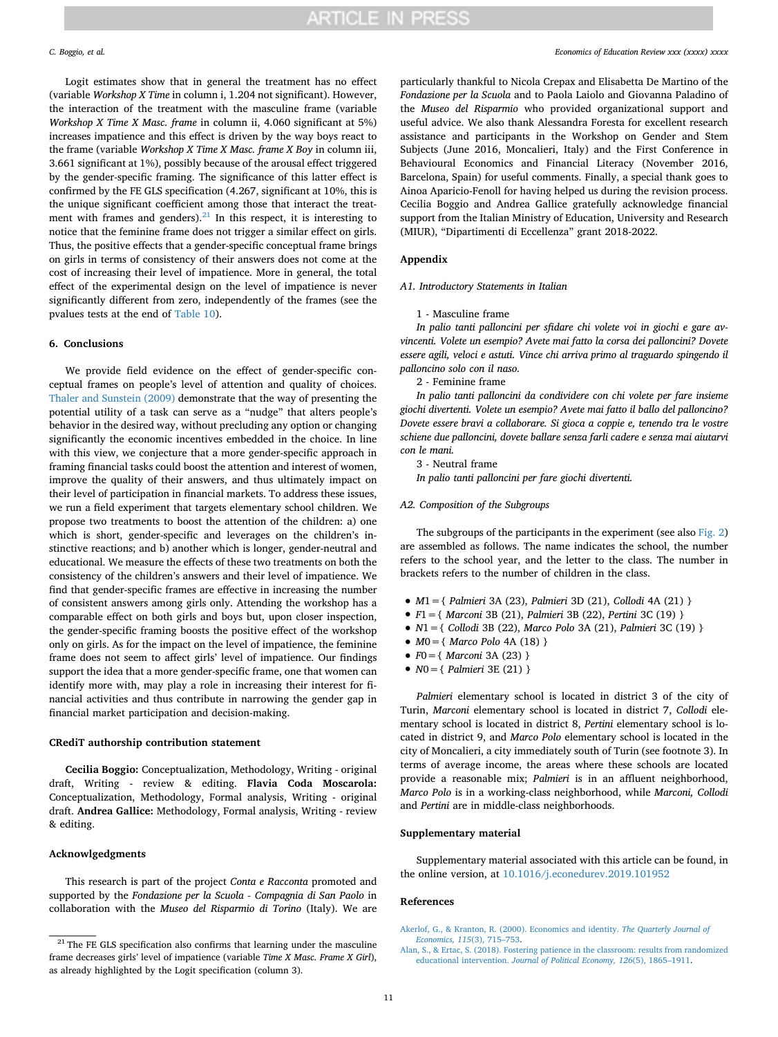Logit estimates show that in general the treatment has no effect (variable *Workshop X Time* in column i, 1.204 not significant). However, the interaction of the treatment with the masculine frame (variable *Workshop X Time X Masc. frame* in column ii, 4.060 significant at 5%) increases impatience and this effect is driven by the way boys react to the frame (variable *Workshop X Time X Masc. frame X Boy* in column iii, 3.661 significant at 1%), possibly because of the arousal effect triggered by the gender-specific framing. The significance of this latter effect is confirmed by the FE GLS specification (4.267, significant at 10%, this is the unique significant coefficient among those that interact the treat-ment with frames and genders).<sup>[21](#page-10-3)</sup> In this respect, it is interesting to notice that the feminine frame does not trigger a similar effect on girls. Thus, the positive effects that a gender-specific conceptual frame brings on girls in terms of consistency of their answers does not come at the cost of increasing their level of impatience. More in general, the total effect of the experimental design on the level of impatience is never significantly different from zero, independently of the frames (see the pvalues tests at the end of [Table 10\)](#page-9-0).

### <span id="page-10-1"></span>**6. Conclusions**

We provide field evidence on the effect of gender-specific conceptual frames on people's level of attention and quality of choices. [Thaler and Sunstein \(2009\)](#page-11-55) demonstrate that the way of presenting the potential utility of a task can serve as a "nudge" that alters people's behavior in the desired way, without precluding any option or changing significantly the economic incentives embedded in the choice. In line with this view, we conjecture that a more gender-specific approach in framing financial tasks could boost the attention and interest of women, improve the quality of their answers, and thus ultimately impact on their level of participation in financial markets. To address these issues, we run a field experiment that targets elementary school children. We propose two treatments to boost the attention of the children: a) one which is short, gender-specific and leverages on the children's instinctive reactions; and b) another which is longer, gender-neutral and educational. We measure the effects of these two treatments on both the consistency of the children's answers and their level of impatience. We find that gender-specific frames are effective in increasing the number of consistent answers among girls only. Attending the workshop has a comparable effect on both girls and boys but, upon closer inspection, the gender-specific framing boosts the positive effect of the workshop only on girls. As for the impact on the level of impatience, the feminine frame does not seem to affect girls' level of impatience. Our findings support the idea that a more gender-specific frame, one that women can identify more with, may play a role in increasing their interest for financial activities and thus contribute in narrowing the gender gap in financial market participation and decision-making.

#### **CRediT authorship contribution statement**

**Cecilia Boggio:** Conceptualization, Methodology, Writing - original draft, Writing - review & editing. **Flavia Coda Moscarola:** Conceptualization, Methodology, Formal analysis, Writing - original draft. **Andrea Gallice:** Methodology, Formal analysis, Writing - review & editing.

### **Acknowlgedgments**

This research is part of the project *Conta e Racconta* promoted and supported by the *Fondazione per la Scuola - Compagnia di San Paolo* in collaboration with the *Museo del Risparmio di Torino* (Italy). We are

particularly thankful to Nicola Crepax and Elisabetta De Martino of the *Fondazione per la Scuola* and to Paola Laiolo and Giovanna Paladino of the *Museo del Risparmio* who provided organizational support and useful advice. We also thank Alessandra Foresta for excellent research assistance and participants in the Workshop on Gender and Stem Subjects (June 2016, Moncalieri, Italy) and the First Conference in Behavioural Economics and Financial Literacy (November 2016, Barcelona, Spain) for useful comments. Finally, a special thank goes to Ainoa Aparicio-Fenoll for having helped us during the revision process. Cecilia Boggio and Andrea Gallice gratefully acknowledge financial support from the Italian Ministry of Education, University and Research (MIUR), "Dipartimenti di Eccellenza" grant 2018-2022.

### **Appendix**

*A1. Introductory Statements in Italian*

#### 1 - Masculine frame

*In palio tanti palloncini per sfidare chi volete voi in giochi e gare avvincenti. Volete un esempio? Avete mai fatto la corsa dei palloncini? Dovete essere agili, veloci e astuti. Vince chi arriva primo al traguardo spingendo il palloncino solo con il naso.*

2 - Feminine frame

*In palio tanti palloncini da condividere con chi volete per fare insieme giochi divertenti. Volete un esempio? Avete mai fatto il ballo del palloncino? Dovete essere bravi a collaborare. Si gioca a coppie e, tenendo tra le vostre schiene due palloncini, dovete ballare senza farli cadere e senza mai aiutarvi con le mani.*

3 - Neutral frame

*In palio tanti palloncini per fare giochi divertenti.*

#### *A2. Composition of the Subgroups*

The subgroups of the participants in the experiment (see also [Fig. 2\)](#page-4-0) are assembled as follows. The name indicates the school, the number refers to the school year, and the letter to the class. The number in brackets refers to the number of children in the class.

- *<sup>M</sup>*1={ *Palmieri* 3A (23), *Palmieri* 3D (21), *Collodi* 4A (21) }
- *<sup>F</sup>*1={ *Marconi* 3B (21), *Palmieri* 3B (22), *Pertini* 3C (19) }
- *<sup>N</sup>*1={ *Collodi* 3B (22), *Marco Polo* 3A (21), *Palmieri* 3C (19) }
- *<sup>M</sup>*0={ *Marco Polo* 4A (18) }
- *<sup>F</sup>*0={ *Marconi* 3A (23) }
- *<sup>N</sup>*0={ *Palmieri* 3E (21) }

*Palmieri* elementary school is located in district 3 of the city of Turin, *Marconi* elementary school is located in district 7, *Collodi* elementary school is located in district 8, *Pertini* elementary school is located in district 9, and *Marco Polo* elementary school is located in the city of Moncalieri, a city immediately south of Turin (see footnote 3). In terms of average income, the areas where these schools are located provide a reasonable mix; *Palmieri* is in an affluent neighborhood, *Marco Polo* is in a working-class neighborhood, while *Marconi, Collodi* and *Pertini* are in middle-class neighborhoods.

#### **Supplementary material**

Supplementary material associated with this article can be found, in the online version, at [10.1016/j.econedurev.2019.101952](https://doi.org/10.1016/j.econedurev.2019.101952)

#### **References**

<span id="page-10-3"></span> $^\mathrm{21}$  The FE GLS specification also confirms that learning under the masculine frame decreases girls' level of impatience (variable *Time X Masc. Frame X Girl*), as already highlighted by the Logit specification (column 3).

<span id="page-10-0"></span>[Akerlof, G., & Kranton, R. \(2000\). Economics and identity.](http://refhub.elsevier.com/S0272-7757(19)30037-8/sbref0001) *The Quarterly Journal of [Economics, 115](http://refhub.elsevier.com/S0272-7757(19)30037-8/sbref0001)*(3), 715–753.

<span id="page-10-2"></span>[Alan, S., & Ertac, S. \(2018\). Fostering patience in the classroom: results from randomized](http://refhub.elsevier.com/S0272-7757(19)30037-8/sbref0002) educational intervention. *[Journal of Political Economy, 126](http://refhub.elsevier.com/S0272-7757(19)30037-8/sbref0002)*(5), 1865–1911.